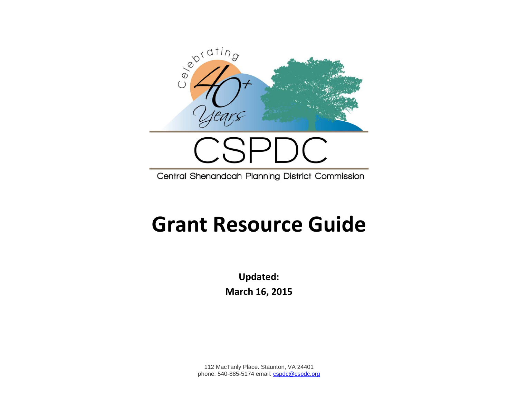

Central Shenandoah Planning District Commission

## **Grant Resource Guide**

**Updated: March 16, 2015**

112 MacTanly Place. Staunton, VA 24401 phone: 540-885-5174 email[: cspdc@cspdc.org](mailto:cspdc@cspdc.org)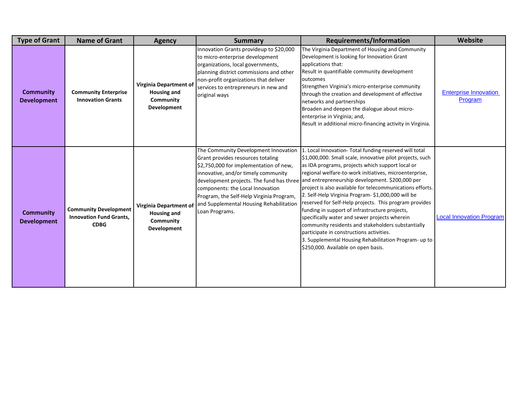| <b>Type of Grant</b>                   | <b>Name of Grant</b>                                                          | <b>Agency</b>                                                                   | <b>Summary</b>                                                                                                                                                                                                                                                                                          | Requirements/Information                                                                                                                                                                                                                                                                                                                                                                                                                                                                                                                                                                                                                                                                                                                                                                                     | Website                                 |
|----------------------------------------|-------------------------------------------------------------------------------|---------------------------------------------------------------------------------|---------------------------------------------------------------------------------------------------------------------------------------------------------------------------------------------------------------------------------------------------------------------------------------------------------|--------------------------------------------------------------------------------------------------------------------------------------------------------------------------------------------------------------------------------------------------------------------------------------------------------------------------------------------------------------------------------------------------------------------------------------------------------------------------------------------------------------------------------------------------------------------------------------------------------------------------------------------------------------------------------------------------------------------------------------------------------------------------------------------------------------|-----------------------------------------|
| <b>Community</b><br><b>Development</b> | <b>Community Enterprise</b><br><b>Innovation Grants</b>                       | Virginia Department of<br><b>Housing and</b><br>Community<br><b>Development</b> | Innovation Grants provideup to \$20,000<br>to micro-enterprise development<br>organizations, local governments,<br>planning district commissions and other<br>non-profit organizations that deliver<br>services to entrepreneurs in new and<br>original ways                                            | The Virginia Department of Housing and Community<br>Development is looking for Innovation Grant<br>applications that:<br>Result in quantifiable community development<br>outcomes<br>Strengthen Virginia's micro-enterprise community<br>through the creation and development of effective<br>networks and partnerships<br>Broaden and deepen the dialogue about micro-<br>enterprise in Virginia; and,<br>Result in additional micro-financing activity in Virginia.                                                                                                                                                                                                                                                                                                                                        | <b>Enterprise Innovation</b><br>Program |
| <b>Community</b><br><b>Development</b> | <b>Community Development</b><br><b>Innovation Fund Grants,</b><br><b>CDBG</b> | Virginia Department of<br><b>Housing and</b><br>Community<br><b>Development</b> | The Community Development Innovation<br>Grant provides resources totaling<br>\$2,750,000 for implementation of new,<br>innovative, and/or timely community<br>components: the Local Innovation<br>Program, the Self-Help Virginia Program,<br>and Supplemental Housing Rehabilitation<br>Loan Programs. | Local Innovation- Total funding reserved will total<br>\$1,000,000. Small scale, innovative pilot projects, such<br>as IDA programs, projects which support local or<br>regional welfare-to-work initiatives, microenterprise,<br>development projects. The fund has three and entrepreneurship development. \$200,000 per<br>project is also available for telecommunications efforts.<br>2. Self-Help Virginia Program- \$1,000,000 will be<br>reserved for Self-Help projects. This program provides<br>funding in support of infrastructure projects,<br>specifically water and sewer projects wherein<br>community residents and stakeholders substantially<br>participate in constructions activities.<br>3. Supplemental Housing Rehabilitation Program- up to<br>\$250,000. Available on open basis. | <b>Local Innovation Program</b>         |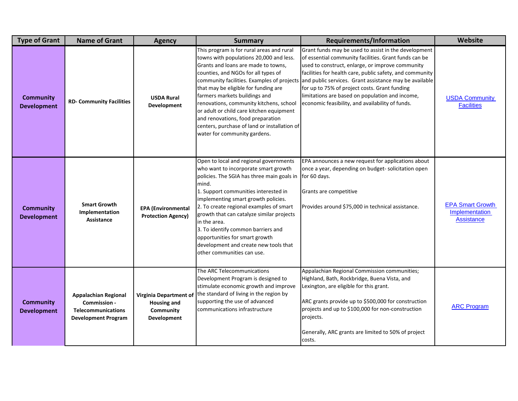| <b>Type of Grant</b>                   | <b>Name of Grant</b>                                                                                   | <b>Agency</b>                                                            | <b>Summary</b>                                                                                                                                                                                                                                                                                                                                                                                                                                                              | <b>Requirements/Information</b>                                                                                                                                                                                                                                                                                                                                                                                                                                                            | <b>Website</b>                                                 |
|----------------------------------------|--------------------------------------------------------------------------------------------------------|--------------------------------------------------------------------------|-----------------------------------------------------------------------------------------------------------------------------------------------------------------------------------------------------------------------------------------------------------------------------------------------------------------------------------------------------------------------------------------------------------------------------------------------------------------------------|--------------------------------------------------------------------------------------------------------------------------------------------------------------------------------------------------------------------------------------------------------------------------------------------------------------------------------------------------------------------------------------------------------------------------------------------------------------------------------------------|----------------------------------------------------------------|
| <b>Community</b><br><b>Development</b> | <b>RD- Community Facilities</b>                                                                        | <b>USDA Rural</b><br>Development                                         | This program is for rural areas and rural<br>towns with populations 20,000 and less.<br>Grants and loans are made to towns,<br>counties, and NGOs for all types of<br>that may be eligible for funding are<br>farmers markets buildings and<br>renovations, community kitchens, school<br>or adult or child care kitchen equipment<br>and renovations, food preparation<br>centers, purchase of land or installation of<br>water for community gardens.                     | Grant funds may be used to assist in the development<br>of essential community facilities. Grant funds can be<br>used to construct, enlarge, or improve community<br>facilities for health care, public safety, and community<br>community facilities. Examples of projects and public services. Grant assistance may be available<br>for up to 75% of project costs. Grant funding<br>limitations are based on population and income,<br>economic feasibility, and availability of funds. | <b>USDA Community</b><br><b>Facilities</b>                     |
| <b>Community</b><br><b>Development</b> | <b>Smart Growth</b><br>Implementation<br>Assistance                                                    | <b>EPA</b> (Environmental<br><b>Protection Agency)</b>                   | Open to local and regional governments<br>who want to incorporate smart growth<br>policies. The SGIA has three main goals in<br>mind.<br>1. Support communities interested in<br>implementing smart growth policies.<br>2. To create regional examples of smart<br>growth that can catalyze similar projects<br>in the area.<br>3. To identify common barriers and<br>opportunities for smart growth<br>development and create new tools that<br>other communities can use. | EPA announces a new request for applications about<br>once a year, depending on budget-solicitation open<br>for 60 days.<br>Grants are competitive<br>Provides around \$75,000 in technical assistance.                                                                                                                                                                                                                                                                                    | <b>EPA Smart Growth</b><br>Implementation<br><b>Assistance</b> |
| <b>Community</b><br><b>Development</b> | <b>Appalachian Regional</b><br>Commission -<br><b>Telecommunications</b><br><b>Development Program</b> | Virginia Department of<br><b>Housing and</b><br>Community<br>Development | The ARC Telecommunications<br>Development Program is designed to<br>stimulate economic growth and improve<br>the standard of living in the region by<br>supporting the use of advanced<br>communications infrastructure                                                                                                                                                                                                                                                     | Appalachian Regional Commission communities;<br>Highland, Bath, Rockbridge, Buena Vista, and<br>Lexington, are eligible for this grant.<br>ARC grants provide up to \$500,000 for construction<br>projects and up to \$100,000 for non-construction<br>projects.<br>Generally, ARC grants are limited to 50% of project<br>costs.                                                                                                                                                          | <b>ARC Program</b>                                             |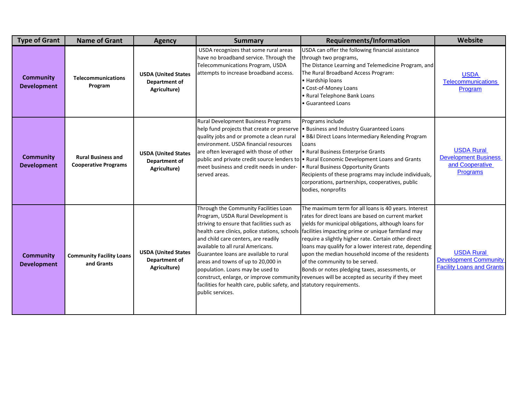| <b>Type of Grant</b>                   | <b>Name of Grant</b>                                     | <b>Agency</b>                                                      | <b>Summary</b>                                                                                                                                                                                                                                                                                                                                                                                                                                                           | Requirements/Information                                                                                                                                                                                                                                                                                                                                                                                                                                                                                                                                                          | Website                                                                               |
|----------------------------------------|----------------------------------------------------------|--------------------------------------------------------------------|--------------------------------------------------------------------------------------------------------------------------------------------------------------------------------------------------------------------------------------------------------------------------------------------------------------------------------------------------------------------------------------------------------------------------------------------------------------------------|-----------------------------------------------------------------------------------------------------------------------------------------------------------------------------------------------------------------------------------------------------------------------------------------------------------------------------------------------------------------------------------------------------------------------------------------------------------------------------------------------------------------------------------------------------------------------------------|---------------------------------------------------------------------------------------|
| <b>Community</b><br><b>Development</b> | <b>Telecommunications</b><br>Program                     | <b>USDA (United States</b><br>Department of<br>Agriculture)        | USDA recognizes that some rural areas<br>have no broadband service. Through the<br>Telecommunications Program, USDA<br>attempts to increase broadband access.                                                                                                                                                                                                                                                                                                            | USDA can offer the following financial assistance<br>through two programs,<br>The Distance Learning and Telemedicine Program, and<br>The Rural Broadband Access Program:<br>• Hardship loans<br>• Cost-of-Money Loans<br>• Rural Telephone Bank Loans<br>· Guaranteed Loans                                                                                                                                                                                                                                                                                                       | <b>USDA</b><br>Telecommunications<br>Program                                          |
| <b>Community</b><br><b>Development</b> | <b>Rural Business and</b><br><b>Cooperative Programs</b> | <b>USDA (United States</b><br><b>Department of</b><br>Agriculture) | Rural Development Business Programs<br>help fund projects that create or preserve   • Business and Industry Guaranteed Loans<br>quality jobs and or promote a clean rural<br>environment. USDA financial resources<br>are often leveraged with those of other<br>meet business and credit needs in under-<br>served areas.                                                                                                                                               | Programs include<br>. B&I Direct Loans Intermediary Relending Program<br>Loans<br>• Rural Business Enterprise Grants<br>public and private credit source lenders to • Rural Economic Development Loans and Grants<br>• Rural Business Opportunity Grants<br>Recipients of these programs may include individuals,<br>corporations, partnerships, cooperatives, public<br>bodies, nonprofits                                                                                                                                                                                       | <b>USDA Rural</b><br><b>Development Business</b><br>and Cooperative<br>Programs       |
| <b>Community</b><br><b>Development</b> | <b>Community Facility Loans</b><br>and Grants            | <b>USDA (United States</b><br>Department of<br>Agriculture)        | Through the Community Facilities Loan<br>Program, USDA Rural Development is<br>striving to ensure that facilities such as<br>health care clinics, police stations, schools<br>and child care centers, are readily<br>available to all rural Americans.<br>Guarantee loans are available to rural<br>areas and towns of up to 20,000 in<br>population. Loans may be used to<br>facilities for health care, public safety, and statutory requirements.<br>public services. | The maximum term for all loans is 40 years. Interest<br>rates for direct loans are based on current market<br>yields for municipal obligations, although loans for<br>facilities impacting prime or unique farmland may<br>require a slightly higher rate. Certain other direct<br>loans may qualify for a lower interest rate, depending<br>upon the median household income of the residents<br>of the community to be served.<br>Bonds or notes pledging taxes, assessments, or<br>construct, enlarge, or improve community revenues will be accepted as security if they meet | <b>USDA Rural</b><br><b>Development Community</b><br><b>Facility Loans and Grants</b> |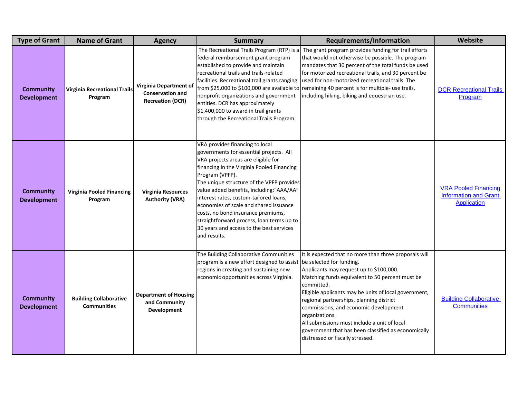| <b>Type of Grant</b>                   | <b>Name of Grant</b>                                | <b>Agency</b>                                                                | <b>Summary</b>                                                                                                                                                                                                                                                                                                                                                                                                                                                                                                  | <b>Requirements/Information</b>                                                                                                                                                                                                                                                                                                                                                                                                                                              | Website                                                                           |
|----------------------------------------|-----------------------------------------------------|------------------------------------------------------------------------------|-----------------------------------------------------------------------------------------------------------------------------------------------------------------------------------------------------------------------------------------------------------------------------------------------------------------------------------------------------------------------------------------------------------------------------------------------------------------------------------------------------------------|------------------------------------------------------------------------------------------------------------------------------------------------------------------------------------------------------------------------------------------------------------------------------------------------------------------------------------------------------------------------------------------------------------------------------------------------------------------------------|-----------------------------------------------------------------------------------|
| <b>Community</b><br><b>Development</b> | <b>Virginia Recreational Trails</b><br>Program      | Virginia Department of<br><b>Conservation and</b><br><b>Recreation (DCR)</b> | The Recreational Trails Program (RTP) is a<br>federal reimbursement grant program<br>established to provide and maintain<br>recreational trails and trails-related<br>facilities. Recreational trail grants ranging<br>nonprofit organizations and government<br>entities. DCR has approximately<br>\$1,400,000 to award in trail grants<br>through the Recreational Trails Program.                                                                                                                            | The grant program provides funding for trail efforts<br>that would not otherwise be possible. The program<br>mandates that 30 percent of the total funds be used<br>for motorized recreational trails, and 30 percent be<br>used for non-motorized recreational trails. The<br>from \$25,000 to \$100,000 are available to remaining 40 percent is for multiple- use trails,<br>including hiking, biking and equestrian use.                                                 | <b>DCR Recreational Trails</b><br>Program                                         |
| <b>Community</b><br><b>Development</b> | <b>Virginia Pooled Financing</b><br>Program         | Virginia Resources<br><b>Authority (VRA)</b>                                 | VRA provides financing to local<br>governments for essential projects. All<br>VRA projects areas are eligible for<br>financing in the Virginia Pooled Financing<br>Program (VPFP).<br>The unique structure of the VPFP provides<br>value added benefits, including: "AAA/AA"<br>interest rates, custom-tailored loans,<br>economies of scale and shared issuance<br>costs, no bond insurance premiums,<br>straightforward process, loan terms up to<br>30 years and access to the best services<br>and results. |                                                                                                                                                                                                                                                                                                                                                                                                                                                                              | <b>VRA Pooled Financing</b><br><b>Information and Grant</b><br><b>Application</b> |
| <b>Community</b><br><b>Development</b> | <b>Building Collaborative</b><br><b>Communities</b> | <b>Department of Housing</b><br>and Community<br>Development                 | The Building Collaborative Communities<br>program is a new effort designed to assist be selected for funding.<br>regions in creating and sustaining new<br>economic opportunities across Virginia.                                                                                                                                                                                                                                                                                                              | It is expected that no more than three proposals will<br>Applicants may request up to \$100,000.<br>Matching funds equivalent to 50 percent must be<br>committed.<br>Eligible applicants may be units of local government,<br>regional partnerships, planning district<br>commissions, and economic development<br>organizations.<br>All submissions must include a unit of local<br>government that has been classified as economically<br>distressed or fiscally stressed. | <b>Building Collaborative</b><br><b>Communities</b>                               |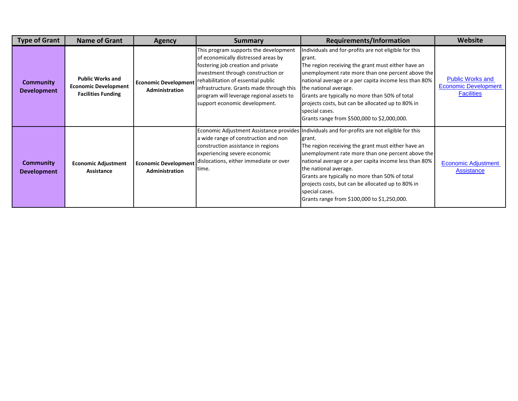| <b>Type of Grant</b>                   | <b>Name of Grant</b>                                                                | <b>Agency</b>                                        | <b>Summary</b>                                                                                                                                                                                                                                                                                                          | Requirements/Information                                                                                                                                                                                                                                                                                                                                                                                                                                                       | <b>Website</b>                                                              |
|----------------------------------------|-------------------------------------------------------------------------------------|------------------------------------------------------|-------------------------------------------------------------------------------------------------------------------------------------------------------------------------------------------------------------------------------------------------------------------------------------------------------------------------|--------------------------------------------------------------------------------------------------------------------------------------------------------------------------------------------------------------------------------------------------------------------------------------------------------------------------------------------------------------------------------------------------------------------------------------------------------------------------------|-----------------------------------------------------------------------------|
| <b>Community</b><br><b>Development</b> | <b>Public Works and</b><br><b>Economic Development</b><br><b>Facilities Funding</b> | <b>Economic Development</b><br>Administration        | This program supports the development<br>of economically distressed areas by<br>fostering job creation and private<br>investment through construction or<br>rehabilitation of essential public<br>infrastructure. Grants made through this<br>program will leverage regional assets to<br>support economic development. | Individuals and for-profits are not eligible for this<br>grant.<br>The region receiving the grant must either have an<br>unemployment rate more than one percent above the<br>national average or a per capita income less than 80%<br>the national average.<br>Grants are typically no more than 50% of total<br>projects costs, but can be allocated up to 80% in<br>special cases.<br>Grants range from \$500,000 to \$2,000,000.                                           | <b>Public Works and</b><br><b>Economic Development</b><br><b>Facilities</b> |
| Community<br><b>Development</b>        | <b>Economic Adjustment</b><br>Assistance                                            | <b>Economic Development</b><br><b>Administration</b> | a wide range of construction and non<br>construction assistance in regions<br>experiencing severe economic<br>dislocations, either immediate or over<br>time.                                                                                                                                                           | Economic Adjustment Assistance provides   Individuals and for-profits are not eligible for this<br>grant.<br>The region receiving the grant must either have an<br>unemployment rate more than one percent above the<br>national average or a per capita income less than 80%<br>the national average.<br>Grants are typically no more than 50% of total<br>projects costs, but can be allocated up to 80% in<br>special cases.<br>Grants range from \$100,000 to \$1,250,000. | <b>Economic Adjustment</b><br><b>Assistance</b>                             |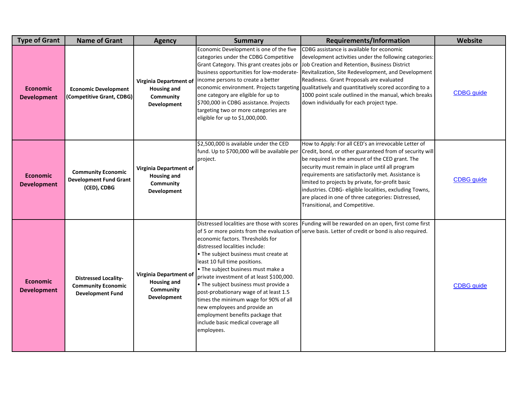| <b>Type of Grant</b>                  | <b>Name of Grant</b>                                                                | <b>Agency</b>                                                                   | <b>Summary</b>                                                                                                                                                                                                                                                                                                                                                                                                                                                                      | <b>Requirements/Information</b>                                                                                                                                                                                                                                                                                                                                                                                                                                                    | Website           |
|---------------------------------------|-------------------------------------------------------------------------------------|---------------------------------------------------------------------------------|-------------------------------------------------------------------------------------------------------------------------------------------------------------------------------------------------------------------------------------------------------------------------------------------------------------------------------------------------------------------------------------------------------------------------------------------------------------------------------------|------------------------------------------------------------------------------------------------------------------------------------------------------------------------------------------------------------------------------------------------------------------------------------------------------------------------------------------------------------------------------------------------------------------------------------------------------------------------------------|-------------------|
| <b>Economic</b><br><b>Development</b> | <b>Economic Development</b><br>(Competitive Grant, CDBG)                            | Virginia Department of<br><b>Housing and</b><br>Community<br>Development        | Economic Development is one of the five<br>categories under the CDBG Competitive<br>Grant Category. This grant creates jobs or<br>business opportunities for low-moderate-<br>income persons to create a better<br>one category are eligible for up to<br>\$700,000 in CDBG assistance. Projects<br>targeting two or more categories are<br>eligible for up to \$1,000,000.                                                                                                         | CDBG assistance is available for economic<br>development activities under the following categories:<br>Job Creation and Retention, Business District<br>Revitalization, Site Redevelopment, and Development<br>Readiness. Grant Proposals are evaluated<br>economic environment. Projects targeting qualitatively and quantitatively scored according to a<br>1000 point scale outlined in the manual, which breaks<br>down individually for each project type.                    | <b>CDBG</b> guide |
| <b>Economic</b><br><b>Development</b> | <b>Community Economic</b><br><b>Development Fund Grant</b><br>(CED), CDBG           | <b>Virginia Department of</b><br><b>Housing and</b><br>Community<br>Development | \$2,500,000 is available under the CED<br>fund. Up to \$700,000 will be available per<br>project.                                                                                                                                                                                                                                                                                                                                                                                   | How to Apply: For all CED's an irrevocable Letter of<br>Credit, bond, or other guaranteed from of security will<br>be required in the amount of the CED grant. The<br>security must remain in place until all program<br>requirements are satisfactorily met. Assistance is<br>limited to projects by private, for-profit basic<br>industries. CDBG- eligible localities, excluding Towns,<br>are placed in one of three categories: Distressed,<br>Transitional, and Competitive. | <b>CDBG</b> guide |
| <b>Economic</b><br><b>Development</b> | <b>Distressed Locality-</b><br><b>Community Economic</b><br><b>Development Fund</b> | Virginia Department of<br><b>Housing and</b><br>Community<br>Development        | economic factors. Thresholds for<br>distressed localities include:<br>• The subject business must create at<br>least 10 full time positions.<br>. The subject business must make a<br>private investment of at least \$100,000.<br>• The subject business must provide a<br>post-probationary wage of at least 1.5<br>times the minimum wage for 90% of all<br>new employees and provide an<br>employment benefits package that<br>include basic medical coverage all<br>employees. | Distressed localities are those with scores Funding will be rewarded on an open, first come first<br>of 5 or more points from the evaluation of serve basis. Letter of credit or bond is also required.                                                                                                                                                                                                                                                                            | <b>CDBG</b> guide |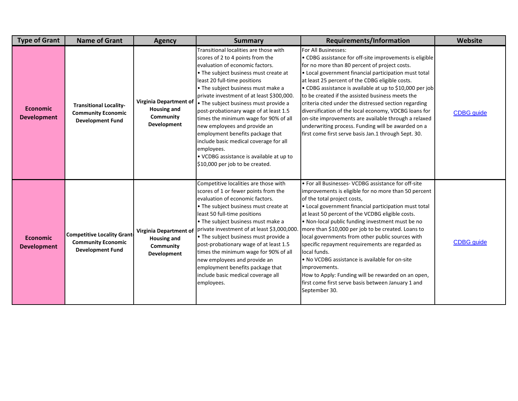| <b>Type of Grant</b>                  | <b>Name of Grant</b>                                                                      | <b>Agency</b>                                                            | <b>Summary</b>                                                                                                                                                                                                                                                                                                                                                                                                                                                                                                                                                                                                   | <b>Requirements/Information</b>                                                                                                                                                                                                                                                                                                                                                                                                                                                                                                                                                                                                                                                          | <b>Website</b>    |
|---------------------------------------|-------------------------------------------------------------------------------------------|--------------------------------------------------------------------------|------------------------------------------------------------------------------------------------------------------------------------------------------------------------------------------------------------------------------------------------------------------------------------------------------------------------------------------------------------------------------------------------------------------------------------------------------------------------------------------------------------------------------------------------------------------------------------------------------------------|------------------------------------------------------------------------------------------------------------------------------------------------------------------------------------------------------------------------------------------------------------------------------------------------------------------------------------------------------------------------------------------------------------------------------------------------------------------------------------------------------------------------------------------------------------------------------------------------------------------------------------------------------------------------------------------|-------------------|
| <b>Economic</b><br><b>Development</b> | <b>Transitional Locality-</b><br><b>Community Economic</b><br><b>Development Fund</b>     | Virginia Department of<br><b>Housing and</b><br>Community<br>Development | Transitional localities are those with<br>scores of 2 to 4 points from the<br>evaluation of economic factors.<br>. The subject business must create at<br>least 20 full-time positions<br>• The subject business must make a<br>private investment of at least \$300,000.<br>• The subject business must provide a<br>post-probationary wage of at least 1.5<br>times the minimum wage for 90% of all<br>new employees and provide an<br>employment benefits package that<br>include basic medical coverage for all<br>employees.<br>• VCDBG assistance is available at up to<br>\$10,000 per job to be created. | For All Businesses:<br>• CDBG assistance for off-site improvements is eligible<br>for no more than 80 percent of project costs.<br>• Local government financial participation must total<br>at least 25 percent of the CDBG eligible costs.<br>• CDBG assistance is available at up to \$10,000 per job<br>to be created if the assisted business meets the<br>criteria cited under the distressed section regarding<br>diversification of the local economy, VDCBG loans for<br>on-site improvements are available through a relaxed<br>underwriting process. Funding will be awarded on a<br>first come first serve basis Jan.1 through Sept. 30.                                      | CDBG_guide        |
| <b>Economic</b><br><b>Development</b> | <b>Competitive Locality Grant</b><br><b>Community Economic</b><br><b>Development Fund</b> | Virginia Department of<br><b>Housing and</b><br>Community<br>Development | Competitive localities are those with<br>scores of 1 or fewer points from the<br>evaluation of economic factors.<br>. The subject business must create at<br>least 50 full-time positions<br>• The subject business must make a<br>private investment of at least \$3,000,000.<br>• The subject business must provide a<br>post-probationary wage of at least 1.5<br>times the minimum wage for 90% of all<br>new employees and provide an<br>employment benefits package that<br>include basic medical coverage all<br>employees.                                                                               | • For all Businesses- VCDBG assistance for off-site<br>improvements is eligible for no more than 50 percent<br>of the total project costs,<br>• Local government financial participation must total<br>at least 50 percent of the VCDBG eligible costs.<br>. Non-local public funding investment must be no<br>more than \$10,000 per job to be created. Loans to<br>local governments from other public sources with<br>specific repayment requirements are regarded as<br>local funds.<br>• No VCDBG assistance is available for on-site<br>improvements.<br>How to Apply: Funding will be rewarded on an open,<br>first come first serve basis between January 1 and<br>September 30. | <b>CDBG</b> guide |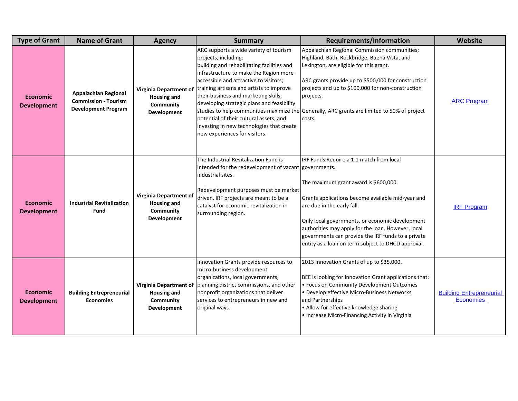| <b>Type of Grant</b>                  | <b>Name of Grant</b>                                                                     | <b>Agency</b>                                                                   | <b>Summary</b>                                                                                                                                                                                                                                                                                                                                                                                                                                              | <b>Requirements/Information</b>                                                                                                                                                                                                                                                                                                                                                           | Website                                             |
|---------------------------------------|------------------------------------------------------------------------------------------|---------------------------------------------------------------------------------|-------------------------------------------------------------------------------------------------------------------------------------------------------------------------------------------------------------------------------------------------------------------------------------------------------------------------------------------------------------------------------------------------------------------------------------------------------------|-------------------------------------------------------------------------------------------------------------------------------------------------------------------------------------------------------------------------------------------------------------------------------------------------------------------------------------------------------------------------------------------|-----------------------------------------------------|
| <b>Economic</b><br><b>Development</b> | <b>Appalachian Regional</b><br><b>Commission - Tourism</b><br><b>Development Program</b> | Virginia Department of<br><b>Housing and</b><br>Community<br>Development        | ARC supports a wide variety of tourism<br>projects, including:<br>building and rehabilitating facilities and<br>infrastructure to make the Region more<br>accessible and attractive to visitors;<br>training artisans and artists to improve<br>their business and marketing skills;<br>developing strategic plans and feasibility<br>potential of their cultural assets; and<br>investing in new technologies that create<br>new experiences for visitors. | Appalachian Regional Commission communities;<br>Highland, Bath, Rockbridge, Buena Vista, and<br>Lexington, are eligible for this grant.<br>ARC grants provide up to \$500,000 for construction<br>projects and up to \$100,000 for non-construction<br>projects.<br>studies to help communities maximize the Generally, ARC grants are limited to 50% of project<br>costs.                | <b>ARC Program</b>                                  |
| <b>Economic</b><br><b>Development</b> | <b>Industrial Revitalization</b><br><b>Fund</b>                                          | Virginia Department of<br><b>Housing and</b><br>Community<br>Development        | The Industrial Revitalization Fund is<br>intended for the redevelopment of vacant governments.<br>industrial sites.<br>Redevelopment purposes must be market<br>driven. IRF projects are meant to be a<br>catalyst for economic revitalization in<br>surrounding region.                                                                                                                                                                                    | IRF Funds Require a 1:1 match from local<br>The maximum grant award is \$600,000.<br>Grants applications become available mid-year and<br>are due in the early fall.<br>Only local governments, or economic development<br>authorities may apply for the loan. However, local<br>governments can provide the IRF funds to a private<br>entity as a loan on term subject to DHCD approval. | <b>IRF Program</b>                                  |
| <b>Economic</b><br><b>Development</b> | <b>Building Entrepreneurial</b><br><b>Economies</b>                                      | <b>Virginia Department of</b><br><b>Housing and</b><br>Community<br>Development | Innovation Grants provide resources to<br>micro-business development<br>organizations, local governments,<br>planning district commissions, and other<br>nonprofit organizations that deliver<br>services to entrepreneurs in new and<br>original ways.                                                                                                                                                                                                     | 2013 Innovation Grants of up to \$35,000.<br>BEE is looking for Innovation Grant applications that:<br>· Focus on Community Development Outcomes<br>· Develop effective Micro-Business Networks<br>and Partnerships<br>• Allow for effective knowledge sharing<br>• Increase Micro-Financing Activity in Virginia                                                                         | <b>Building Entrepreneurial</b><br><b>Economies</b> |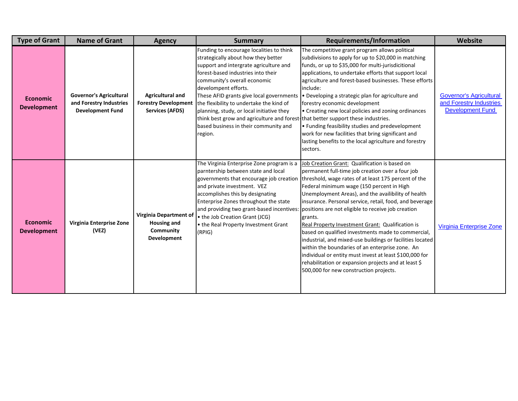| <b>Type of Grant</b>                  | <b>Name of Grant</b>                                                                 | <b>Agency</b>                                                                    | <b>Summary</b>                                                                                                                                                                                                                                                                                                                                                                                                                                                                                       | <b>Requirements/Information</b>                                                                                                                                                                                                                                                                                                                                                                                                                                                                                                                                                                                                                                                                                                                                                  | Website                                                                              |
|---------------------------------------|--------------------------------------------------------------------------------------|----------------------------------------------------------------------------------|------------------------------------------------------------------------------------------------------------------------------------------------------------------------------------------------------------------------------------------------------------------------------------------------------------------------------------------------------------------------------------------------------------------------------------------------------------------------------------------------------|----------------------------------------------------------------------------------------------------------------------------------------------------------------------------------------------------------------------------------------------------------------------------------------------------------------------------------------------------------------------------------------------------------------------------------------------------------------------------------------------------------------------------------------------------------------------------------------------------------------------------------------------------------------------------------------------------------------------------------------------------------------------------------|--------------------------------------------------------------------------------------|
| <b>Economic</b><br><b>Development</b> | <b>Governor's Agricultural</b><br>and Forestry Industries<br><b>Development Fund</b> | <b>Agricultural and</b><br><b>Forestry Development</b><br><b>Services (AFDS)</b> | Funding to encourage localities to think<br>strategically about how they better<br>support and intergrate agriculture and<br>forest-based industries into their<br>community's overall economic<br>develompent efforts.<br>These AFID grants give local governments<br>the flexibility to undertake the kind of<br>planning, study, or local initiative they<br>think best grow and agriculture and forest-that better support these industries.<br>based business in their community and<br>region. | The competitive grant program allows political<br>subdivisions to apply for up to \$20,000 in matching<br>funds, or up to \$35,000 for multi-jurisdicitional<br>applications, to undertake efforts that support local<br>agriculture and forest-based businesses. These efforts<br>include:<br>• Developing a strategic plan for agriculture and<br>forestry economic development<br>• Creating new local policies and zoning ordinances<br>• Funding feasibility studies and predevelopment<br>work for new facilities that bring significant and<br>lasting benefits to the local agriculture and forestry<br>sectors.                                                                                                                                                         | <b>Governor's Agricultural</b><br>and Forestry Industries<br><b>Development Fund</b> |
| <b>Economic</b><br><b>Development</b> | Virginia Enterprise Zone<br>(VEZ)                                                    | <b>Virginia Department of</b><br><b>Housing and</b><br>Community<br>Development  | The Virginia Enterprise Zone program is a<br>parntership between state and local<br>governments that encourage job creation<br>and private investment. VEZ<br>accomplishes this by designating<br>Enterprise Zones throughout the state<br>and providing two grant-based incentives:<br>• the Job Creation Grant (JCG)<br>. the Real Property Investment Grant<br>(RPIG)                                                                                                                             | Job Creation Grant: Qualification is based on<br>permanent full-time job creation over a four job<br>threshold, wage rates of at least 175 percent of the<br>Federal minimum wage (150 percent in High<br>Unemployment Areas), and the availibility of health<br>insurance. Personal service, retail, food, and beverage<br>positions are not eligible to receive job creation<br>grants.<br>Real Property Investment Grant: Qualification is<br>based on qualified investments made to commercial,<br>industrial, and mixed-use buildings or facilities located<br>within the boundaries of an enterprise zone. An<br>individual or entity must invest at least \$100,000 for<br>rehabilitation or expansion projects and at least \$<br>500,000 for new construction projects. | <b>Virginia Enterprise Zone</b>                                                      |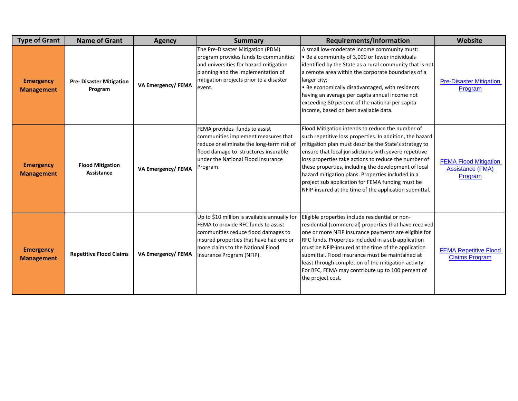| <b>Type of Grant</b>                  | <b>Name of Grant</b>                      | <b>Agency</b>            | <b>Summary</b>                                                                                                                                                                                                                          | Requirements/Information                                                                                                                                                                                                                                                                                                                                                                                                                                                                                           | <b>Website</b>                                                     |
|---------------------------------------|-------------------------------------------|--------------------------|-----------------------------------------------------------------------------------------------------------------------------------------------------------------------------------------------------------------------------------------|--------------------------------------------------------------------------------------------------------------------------------------------------------------------------------------------------------------------------------------------------------------------------------------------------------------------------------------------------------------------------------------------------------------------------------------------------------------------------------------------------------------------|--------------------------------------------------------------------|
| <b>Emergency</b><br><b>Management</b> | <b>Pre-Disaster Mitigation</b><br>Program | <b>VA Emergency/FEMA</b> | The Pre-Disaster Mitigation (PDM)<br>program provides funds to communities<br>and universities for hazard mitigation<br>planning and the implementation of<br>mitigation projects prior to a disaster<br>event.                         | A small low-moderate income community must:<br>. Be a community of 3,000 or fewer individuals<br>identified by the State as a rural community that is not<br>a remote area within the corporate boundaries of a<br>larger city;<br>. Be economically disadvantaged, with residents<br>having an average per capita annual income not<br>exceeding 80 percent of the national per capita<br>income, based on best available data.                                                                                   | <b>Pre-Disaster Mitigation</b><br>Program                          |
| <b>Emergency</b><br><b>Management</b> | <b>Flood Mitigation</b><br>Assistance     | <b>VA Emergency/FEMA</b> | FEMA provides funds to assist<br>communities implement measures that<br>reduce or eliminate the long-term risk of<br>flood damage to structures insurable<br>under the National Flood Insurance<br>Program.                             | Flood Mitigation intends to reduce the number of<br>such repetitive loss properties. In addition, the hazard<br>mitigation plan must describe the State's strategy to<br>ensure that local jurisdictions with severe repetitive<br>loss properties take actions to reduce the number of<br>these properties, including the development of local<br>hazard mitigation plans. Properties included in a<br>project sub application for FEMA funding must be<br>NFIP-insured at the time of the application submittal. | <b>FEMA Flood Mitigation</b><br><b>Assistance (FMA)</b><br>Program |
| <b>Emergency</b><br><b>Management</b> | <b>Repetitive Flood Claims</b>            | <b>VA Emergency/FEMA</b> | Up to \$10 million is available annually for<br>FEMA to provide RFC funds to assist<br>communities reduce flood damages to<br>insured properties that have had one or<br>more claims to the National Flood<br>Insurance Program (NFIP). | Eligible properties include residential or non-<br>residential (commercial) properties that have received<br>one or more NFIP insurance payments are eligible for<br>RFC funds. Properties included in a sub application<br>must be NFIP-insured at the time of the application<br>submittal. Flood insurance must be maintained at<br>least through completion of the mitigation activity.<br>For RFC, FEMA may contribute up to 100 percent of<br>the project cost.                                              | <b>FEMA Repetitive Flood</b><br><b>Claims Program</b>              |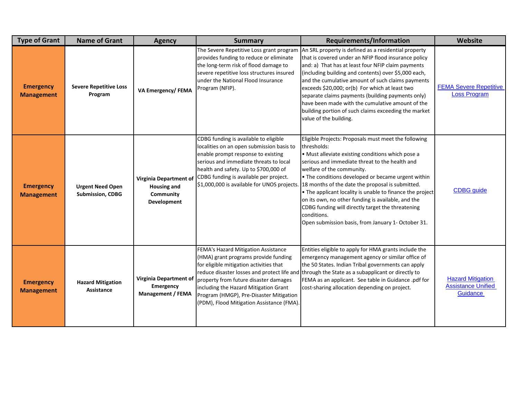| <b>Type of Grant</b>                  | <b>Name of Grant</b>                               | <b>Agency</b>                                                            | <b>Summary</b>                                                                                                                                                                                                                                                                                       | <b>Requirements/Information</b>                                                                                                                                                                                                                                                                                                                                                                                                                                                                                                                                | Website                                                           |
|---------------------------------------|----------------------------------------------------|--------------------------------------------------------------------------|------------------------------------------------------------------------------------------------------------------------------------------------------------------------------------------------------------------------------------------------------------------------------------------------------|----------------------------------------------------------------------------------------------------------------------------------------------------------------------------------------------------------------------------------------------------------------------------------------------------------------------------------------------------------------------------------------------------------------------------------------------------------------------------------------------------------------------------------------------------------------|-------------------------------------------------------------------|
| <b>Emergency</b><br><b>Management</b> | <b>Severe Repetitive Loss</b><br>Program           | <b>VA Emergency/FEMA</b>                                                 | The Severe Repetitive Loss grant program<br>provides funding to reduce or eliminate<br>the long-term risk of flood damage to<br>severe repetitive loss structures insured<br>under the National Flood Insurance<br>Program (NFIP).                                                                   | An SRL property is defined as a residential property<br>that is covered under an NFIP flood insurance policy<br>and: a) That has at least four NFIP claim payments<br>(including building and contents) over \$5,000 each,<br>and the cumulative amount of such claims payments<br>exceeds \$20,000; or(b) For which at least two<br>separate claims payments (building payments only)<br>have been made with the cumulative amount of the<br>building portion of such claims exceeding the market<br>value of the building.                                   | <b>FEMA Severe Repetitive</b><br><b>Loss Program</b>              |
| <b>Emergency</b><br><b>Management</b> | <b>Urgent Need Open</b><br><b>Submission, CDBG</b> | Virginia Department of<br><b>Housing and</b><br>Community<br>Development | CDBG funding is available to eligible<br>localities on an open submission basis to<br>enable prompt response to existing<br>serious and immediate threats to local<br>health and safety. Up to \$700,000 of<br>CDBG funding is available per project.<br>\$1,000,000 is available for UNOS projects. | Eligible Projects: Proposals must meet the following<br>thresholds:<br>• Must alleviate existing conditions which pose a<br>serious and immediate threat to the health and<br>welfare of the community.<br>• The conditions developed or became urgent within<br>18 months of the date the proposal is submitted.<br>• The applicant locality is unable to finance the project<br>on its own, no other funding is available, and the<br>CDBG funding will directly target the threatening<br>conditions.<br>Open submission basis, from January 1- October 31. | <b>CDBG</b> guide                                                 |
| <b>Emergency</b><br><b>Management</b> | <b>Hazard Mitigation</b><br>Assistance             | Virginia Department of<br>Emergency<br><b>Management / FEMA</b>          | FEMA's Hazard Mitigation Assistance<br>(HMA) grant programs provide funding<br>for eligible mitigation activities that<br>property from future disaster damages<br>including the Hazard Mitigation Grant<br>Program (HMGP), Pre-Disaster Mitigation<br>(PDM), Flood Mitigation Assistance (FMA).     | Entities eligible to apply for HMA grants include the<br>emergency management agency or similar office of<br>the 50 States. Indian Tribal governments can apply<br>reduce disaster losses and protect life and through the State as a subapplicant or directly to<br>FEMA as an applicant. See table in Guidance .pdf for<br>cost-sharing allocation depending on project.                                                                                                                                                                                     | <b>Hazard Mitigation</b><br><b>Assistance Unified</b><br>Guidance |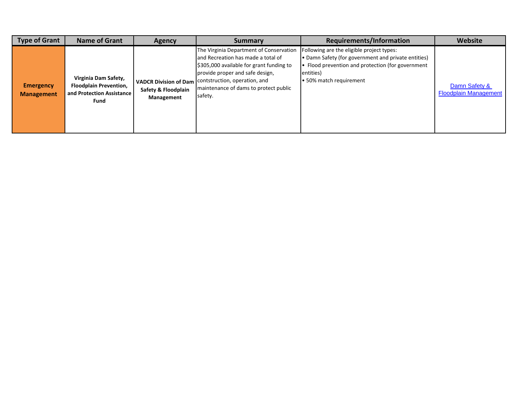| <b>Type of Grant</b>                  | <b>Name of Grant</b>                                                                       | <b>Agency</b>                                                     | Summary                                                                                                                                                                                                                                           | <b>Requirements/Information</b>                                                                                                                                                               | Website                                       |
|---------------------------------------|--------------------------------------------------------------------------------------------|-------------------------------------------------------------------|---------------------------------------------------------------------------------------------------------------------------------------------------------------------------------------------------------------------------------------------------|-----------------------------------------------------------------------------------------------------------------------------------------------------------------------------------------------|-----------------------------------------------|
| <b>Emergency</b><br><b>Management</b> | Virginia Dam Safety,<br><b>Floodplain Prevention,</b><br>and Protection Assistance<br>Fund | <b>VADCR Division of Dam</b><br>Safety & Floodplain<br>Management | The Virginia Department of Conservation<br>and Recreation has made a total of<br>\$305,000 available for grant funding to<br>provide proper and safe design,<br>contstruction, operation, and<br>maintenance of dams to protect public<br>safety. | Following are the eligible project types:<br>• Damn Safety (for government and private entities)<br>• Flood prevention and protection (for government<br>entities)<br>• 50% match requirement | Damn Safety &<br><b>Floodplain Management</b> |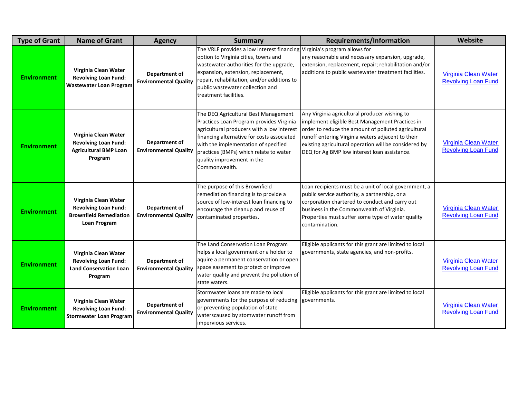| <b>Type of Grant</b> | <b>Name of Grant</b>                                                                                 | <b>Agency</b>                                 | <b>Summary</b>                                                                                                                                                                                                                                                                                                | <b>Requirements/Information</b>                                                                                                                                                                                                                                                                                       | Website                                            |
|----------------------|------------------------------------------------------------------------------------------------------|-----------------------------------------------|---------------------------------------------------------------------------------------------------------------------------------------------------------------------------------------------------------------------------------------------------------------------------------------------------------------|-----------------------------------------------------------------------------------------------------------------------------------------------------------------------------------------------------------------------------------------------------------------------------------------------------------------------|----------------------------------------------------|
| <b>Environment</b>   | Virginia Clean Water<br><b>Revolving Loan Fund:</b><br><b>Wastewater Loan Program</b>                | Department of<br><b>Environmental Quality</b> | The VRLF provides a low interest financing Virginia's program allows for<br>option to Virginia cities, towns and<br>wastewater authorities for the upgrade,<br>expansion, extension, replacement,<br>repair, rehabilitation, and/or additions to<br>public wastewater collection and<br>treatment facilities. | any reasonable and necessary expansion, upgrade,<br>extension, replacement, repair; rehabilitation and/or<br>additions to public wastewater treatment facilities.                                                                                                                                                     | Virginia Clean Water<br><b>Revolving Loan Fund</b> |
| <b>Environment</b>   | Virginia Clean Water<br><b>Revolving Loan Fund:</b><br><b>Agricultural BMP Loan</b><br>Program       | Department of<br><b>Environmental Quality</b> | The DEQ Agricultural Best Management<br>Practices Loan Program provides Virginia<br>agricultural producers with a low interest<br>financing alternative for costs associated<br>with the implementation of specified<br>practices (BMPs) which relate to water<br>quality improvement in the<br>Commonwealth. | Any Virginia agricultural producer wishing to<br>implement eligible Best Management Practices in<br>order to reduce the amount of polluted agricultural<br>runoff entering Virginia waters adjacent to their<br>existing agricultural operation will be considered by<br>DEQ for Ag BMP low interest loan assistance. | Virginia Clean Water<br><b>Revolving Loan Fund</b> |
| <b>Environment</b>   | Virginia Clean Water<br><b>Revolving Loan Fund:</b><br><b>Brownfield Remediation</b><br>Loan Program | Department of<br><b>Environmental Quality</b> | The purpose of this Brownfield<br>remediation financing is to provide a<br>source of low-interest loan financing to<br>encourage the cleanup and reuse of<br>contaminated properties.                                                                                                                         | Loan recipients must be a unit of local government, a<br>public service authority, a partnership, or a<br>corporation chartered to conduct and carry out<br>business in the Commonwealth of Virginia.<br>Properties must suffer some type of water quality<br>contamination.                                          | Virginia Clean Water<br><b>Revolving Loan Fund</b> |
| <b>Environment</b>   | Virginia Clean Water<br><b>Revolving Loan Fund:</b><br><b>Land Conservation Loan</b><br>Program      | Department of<br><b>Environmental Quality</b> | The Land Conservation Loan Program<br>helps a local government or a holder to<br>aquire a permanent conservation or open<br>space easement to protect or improve<br>water quality and prevent the pollution of<br>state waters.                                                                               | Eligible applicants for this grant are limited to local<br>governments, state agencies, and non-profits.                                                                                                                                                                                                              | Virginia Clean Water<br><b>Revolving Loan Fund</b> |
| <b>Environment</b>   | Virginia Clean Water<br><b>Revolving Loan Fund:</b><br><b>Stormwater Loan Program</b>                | Department of<br><b>Environmental Quality</b> | Stormwater loans are made to local<br>governments for the purpose of reducing<br>or preventing population of state<br>waterscaused by stomwater runoff from<br>impervious services.                                                                                                                           | Eligible applicants for this grant are limited to local<br>governments.                                                                                                                                                                                                                                               | Virginia Clean Water<br><b>Revolving Loan Fund</b> |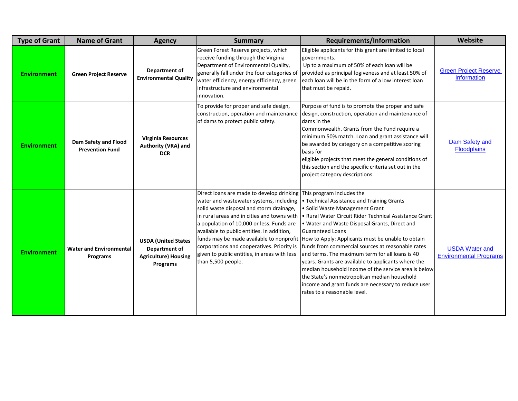| <b>Type of Grant</b> | <b>Name of Grant</b>                           | <b>Agency</b>                                                                          | <b>Summary</b>                                                                                                                                                                                                                                                                                                                                                                                 | Requirements/Information                                                                                                                                                                                                                                                                                                                                                                                                                                                                                                                                                                                                                                                                                     | Website                                                |
|----------------------|------------------------------------------------|----------------------------------------------------------------------------------------|------------------------------------------------------------------------------------------------------------------------------------------------------------------------------------------------------------------------------------------------------------------------------------------------------------------------------------------------------------------------------------------------|--------------------------------------------------------------------------------------------------------------------------------------------------------------------------------------------------------------------------------------------------------------------------------------------------------------------------------------------------------------------------------------------------------------------------------------------------------------------------------------------------------------------------------------------------------------------------------------------------------------------------------------------------------------------------------------------------------------|--------------------------------------------------------|
| <b>Environment</b>   | <b>Green Project Reserve</b>                   | Department of<br><b>Environmental Quality</b>                                          | Green Forest Reserve projects, which<br>receive funding through the Virginia<br>Department of Environmental Quality,<br>generally fall under the four categories of<br>water efficiency, energy efficiency, green<br>infrastructure and environmental<br>innovation.                                                                                                                           | Eligible applicants for this grant are limited to local<br>governments.<br>Up to a maximum of 50% of each loan will be<br>provided as principal fogiveness and at least 50% of<br>each loan will be in the form of a low interest loan<br>that must be repaid.                                                                                                                                                                                                                                                                                                                                                                                                                                               | <b>Green Project Reserve</b><br><b>Information</b>     |
| <b>Environment</b>   | Dam Safety and Flood<br><b>Prevention Fund</b> | <b>Virginia Resources</b><br>Authority (VRA) and<br><b>DCR</b>                         | To provide for proper and safe design,<br>construction, operation and maintenance<br>of dams to protect public safety.                                                                                                                                                                                                                                                                         | Purpose of fund is to promote the proper and safe<br>design, construction, operation and maintenance of<br>dams in the<br>Commonwealth. Grants from the Fund require a<br>minimum 50% match. Loan and grant assistance will<br>be awarded by category on a competitive scoring<br>basis for<br>eligible projects that meet the general conditions of<br>this section and the specific criteria set out in the<br>project category descriptions.                                                                                                                                                                                                                                                              | Dam Safety and<br><b>Floodplains</b>                   |
| <b>Environment</b>   | <b>Water and Environmental</b><br>Programs     | <b>USDA (United States</b><br>Department of<br><b>Agriculture) Housing</b><br>Programs | Direct loans are made to develop drinking<br>water and wastewater systems, including<br>solid waste disposal and storm drainage,<br>in rural areas and in cities and towns with<br>a population of 10,000 or less. Funds are<br>available to public entities. In addition,<br>corporations and cooperatives. Priority is<br>given to public entities, in areas with less<br>than 5,500 people. | This program includes the<br>• Technical Assistance and Training Grants<br>• Solid Waste Management Grant<br>. Rural Water Circuit Rider Technical Assistance Grant<br>. Water and Waste Disposal Grants, Direct and<br><b>Guaranteed Loans</b><br>funds may be made available to nonprofit  How to Apply: Applicants must be unable to obtain<br>funds from commercial sources at reasonable rates<br>and terms. The maximum term for all loans is 40<br>years. Grants are available to applicants where the<br>median household income of the service area is below<br>the State's nonmetropolitan median household<br>income and grant funds are necessary to reduce user<br>rates to a reasonable level. | <b>USDA Water and</b><br><b>Environmental Programs</b> |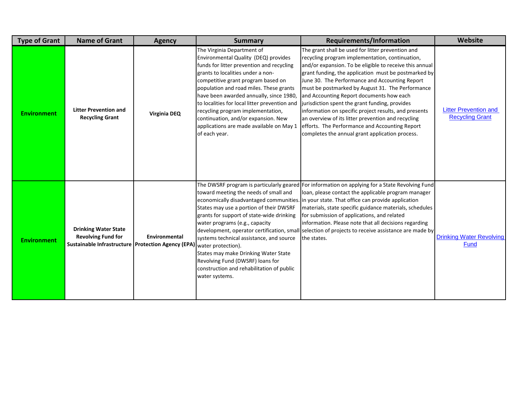| <b>Type of Grant</b> | <b>Name of Grant</b>                                                                                             | <b>Agency</b>       | <b>Summary</b>                                                                                                                                                                                                                                                                                                                                                                                                                                                             | Requirements/Information                                                                                                                                                                                                                                                                                                                                                                                                                                                                                                                                                                                                                        | Website                                                |
|----------------------|------------------------------------------------------------------------------------------------------------------|---------------------|----------------------------------------------------------------------------------------------------------------------------------------------------------------------------------------------------------------------------------------------------------------------------------------------------------------------------------------------------------------------------------------------------------------------------------------------------------------------------|-------------------------------------------------------------------------------------------------------------------------------------------------------------------------------------------------------------------------------------------------------------------------------------------------------------------------------------------------------------------------------------------------------------------------------------------------------------------------------------------------------------------------------------------------------------------------------------------------------------------------------------------------|--------------------------------------------------------|
| <b>Environment</b>   | <b>Litter Prevention and</b><br><b>Recycling Grant</b>                                                           | <b>Virginia DEQ</b> | The Virginia Department of<br>Environmental Quality (DEQ) provides<br>funds for litter prevention and recycling<br>grants to localities under a non-<br>competitive grant program based on<br>population and road miles. These grants<br>have been awarded annually, since 1980,<br>to localities for local litter prevention and<br>recycling program implementation,<br>continuation, and/or expansion. New<br>applications are made available on May 1<br>of each year. | The grant shall be used for litter prevention and<br>recycling program implementation, continuation,<br>and/or expansion. To be eligible to receive this annual<br>grant funding, the application must be postmarked by<br>June 30. The Performance and Accounting Report<br>must be postmarked by August 31. The Performance<br>and Accounting Report documents how each<br>jurisdiction spent the grant funding, provides<br>information on specific project results, and presents<br>an overview of its litter prevention and recycling<br>efforts. The Performance and Accounting Report<br>completes the annual grant application process. | <b>Litter Prevention and</b><br><b>Recycling Grant</b> |
| <b>Environment</b>   | <b>Drinking Water State</b><br><b>Revolving Fund for</b><br>Sustainable Infrastructure   Protection Agency (EPA) | Environmental       | toward meeting the needs of small and<br>States may use a portion of their DWSRF<br>grants for support of state-wide drinking<br>water programs (e.g., capacity<br>systems technical assistance, and source<br>water protection).<br>States may make Drinking Water State<br>Revolving Fund (DWSRF) loans for<br>construction and rehabilitation of public<br>water systems.                                                                                               | The DWSRF program is particularly geared For information on applying for a State Revolving Fund<br>loan, please contact the applicable program manager<br>economically disadvantaged communities. in your state. That office can provide application<br>materials, state specific guidance materials, schedules<br>for submission of applications, and related<br>information. Please note that all decisions regarding<br>development, operator certification, small selection of projects to receive assistance are made by<br>the states.                                                                                                    | <b>Drinking Water Revolving</b><br>Fund                |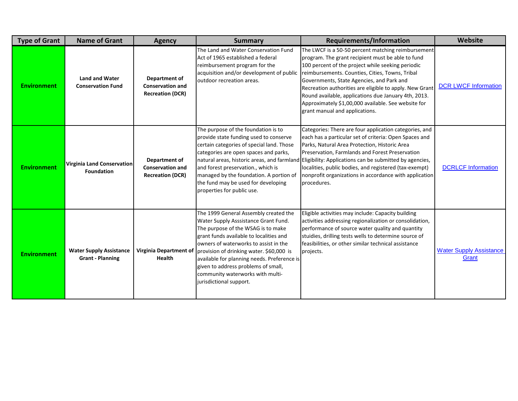| <b>Type of Grant</b> | <b>Name of Grant</b>                                      | <b>Agency</b>                                                       | <b>Summary</b>                                                                                                                                                                                                                                                                                                                                                                                           | <b>Requirements/Information</b>                                                                                                                                                                                                                                                                                                                                                                                                                                          | Website                                 |
|----------------------|-----------------------------------------------------------|---------------------------------------------------------------------|----------------------------------------------------------------------------------------------------------------------------------------------------------------------------------------------------------------------------------------------------------------------------------------------------------------------------------------------------------------------------------------------------------|--------------------------------------------------------------------------------------------------------------------------------------------------------------------------------------------------------------------------------------------------------------------------------------------------------------------------------------------------------------------------------------------------------------------------------------------------------------------------|-----------------------------------------|
| <b>Environment</b>   | <b>Land and Water</b><br><b>Conservation Fund</b>         | Department of<br><b>Conservation and</b><br><b>Recreation (DCR)</b> | The Land and Water Conservation Fund<br>Act of 1965 established a federal<br>reimbursement program for the<br>acquisition and/or development of public<br>outdoor recreation areas.                                                                                                                                                                                                                      | The LWCF is a 50-50 percent matching reimbursement<br>program. The grant recipient must be able to fund<br>100 percent of the project while seeking periodic<br>reimbursements. Counties, Cities, Towns, Tribal<br>Governments, State Agencies, and Park and<br>Recreation authorities are eligible to apply. New Grant<br>Round available, applications due January 4th, 2013.<br>Approximately \$1,00,000 available. See website for<br>grant manual and applications. | <b>DCR LWCF Information</b>             |
| <b>Environment</b>   | Virginia Land Conservation<br><b>Foundation</b>           | Department of<br><b>Conservation and</b><br><b>Recreation (DCR)</b> | The purpose of the foundation is to<br>provide state funding used to conserve<br>certain categories of special land. Those<br>categories are open spaces and parks,<br>and forest preservation., which is<br>managed by the foundation. A portion of<br>the fund may be used for developing<br>properties for public use.                                                                                | Categories: There are four application categories, and<br>each has a particular set of criteria: Open Spaces and<br>Parks, Natural Area Protection, Historic Area<br>Preservation, Farmlands and Forest Preservation<br>natural areas, historic areas, and farmland Eligibility: Applications can be submitted by agencies,<br>localities, public bodies, and registered (tax-exempt)<br>nonprofit organizations in accordance with application<br>procedures.           | <b>DCRLCF Information</b>               |
| <b>Environment</b>   | <b>Water Supply Assistance</b><br><b>Grant - Planning</b> | <b>Virginia Department of</b><br><b>Health</b>                      | The 1999 General Assembly created the<br>Water Supply Asssistance Grant Fund.<br>The purpose of the WSAG is to make<br>grant funds available to localities and<br>owners of waterworks to assist in the<br>provision of drinking water. \$60,000 is<br>available for planning needs. Preference is<br>given to address problems of small,<br>community waterworks with multi-<br>jurisdictional support. | Eligible activities may include: Capacity building<br>activities addressing regionalization or consolidation,<br>performance of source water quality and quantity<br>stuidies, drilling tests wells to determine source of<br>feasibilities, or other similar technical assistance<br>projects.                                                                                                                                                                          | <b>Water Supply Assistance</b><br>Grant |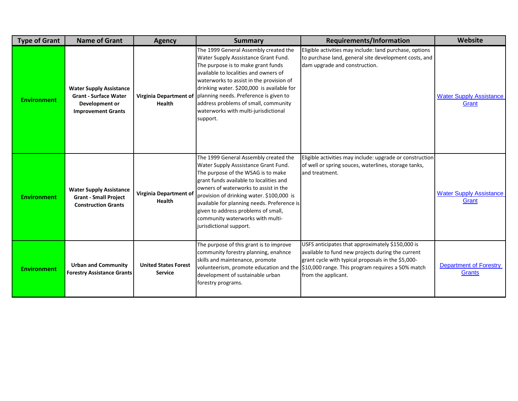| <b>Type of Grant</b> | <b>Name of Grant</b>                                                                                          | <b>Agency</b>                                  | <b>Summary</b>                                                                                                                                                                                                                                                                                                                                                                                            | <b>Requirements/Information</b>                                                                                                                                                                                                                                                 | <b>Website</b>                          |
|----------------------|---------------------------------------------------------------------------------------------------------------|------------------------------------------------|-----------------------------------------------------------------------------------------------------------------------------------------------------------------------------------------------------------------------------------------------------------------------------------------------------------------------------------------------------------------------------------------------------------|---------------------------------------------------------------------------------------------------------------------------------------------------------------------------------------------------------------------------------------------------------------------------------|-----------------------------------------|
| <b>Environment</b>   | <b>Water Supply Assistance</b><br><b>Grant - Surface Water</b><br>Development or<br><b>Improvement Grants</b> | <b>Virginia Department of</b><br><b>Health</b> | The 1999 General Assembly created the<br>Water Supply Asssistance Grant Fund.<br>The purpose is to make grant funds<br>available to localities and owners of<br>waterworks to assist in the provision of<br>drinking water. \$200,000 is available for<br>planning needs. Preference is given to<br>address problems of small, community<br>waterworks with multi-jurisdictional<br>support.              | Eligible activities may include: land purchase, options<br>to purchase land, general site development costs, and<br>dam upgrade and construction.                                                                                                                               | <b>Water Supply Assistance</b><br>Grant |
| <b>Environment</b>   | <b>Water Supply Assistance</b><br><b>Grant - Small Project</b><br><b>Construction Grants</b>                  | Virginia Department of<br>Health               | The 1999 General Assembly created the<br>Water Supply Asssistance Grant Fund.<br>The purpose of the WSAG is to make<br>grant funds available to localities and<br>owners of waterworks to assist in the<br>provision of drinking water. \$100,000 is<br>available for planning needs. Preference is<br>given to address problems of small,<br>community waterworks with multi-<br>jurisdictional support. | Eligible activities may include: upgrade or construction<br>of well or spring souces, waterlines, storage tanks,<br>and treatment.                                                                                                                                              | <b>Water Supply Assistance</b><br>Grant |
| <b>Environment</b>   | <b>Urban and Community</b><br><b>Forestry Assistance Grants</b>                                               | <b>United States Forest</b><br><b>Service</b>  | The purpose of this grant is to improve<br>community forestry planning, enahnce<br>skills and maintenance, promote<br>development of sustainable urban<br>forestry programs.                                                                                                                                                                                                                              | USFS anticipates that approximately \$150,000 is<br>available to fund new projects during the current<br>grant cycle with typical proposals in the \$5,000-<br>volunteerism, promote education and the \$10,000 range. This program requires a 50% match<br>from the applicant. | <b>Department of Forestry</b><br>Grants |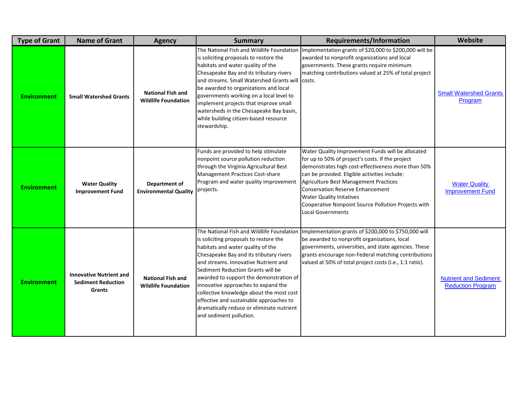| <b>Type of Grant</b> | <b>Name of Grant</b>                                                         | <b>Agency</b>                                          | <b>Summary</b>                                                                                                                                                                                                                                                                                                                                                                                                                                                                                    | <b>Requirements/Information</b>                                                                                                                                                                                                                                                                                                                                                                                        | Website                                                  |
|----------------------|------------------------------------------------------------------------------|--------------------------------------------------------|---------------------------------------------------------------------------------------------------------------------------------------------------------------------------------------------------------------------------------------------------------------------------------------------------------------------------------------------------------------------------------------------------------------------------------------------------------------------------------------------------|------------------------------------------------------------------------------------------------------------------------------------------------------------------------------------------------------------------------------------------------------------------------------------------------------------------------------------------------------------------------------------------------------------------------|----------------------------------------------------------|
| <b>Environment</b>   | <b>Small Watershed Grants</b>                                                | <b>National Fish and</b><br><b>Wildlife Foundation</b> | The National Fish and Wildlife Foundation<br>is soliciting proposals to restore the<br>habitats and water quality of the<br>Chesapeake Bay and its tributary rivers<br>and streams. Small Watershed Grants will<br>be awarded to organizations and local<br>governments working on a local level to<br>implement projects that improve small<br>watersheds in the Chesapeake Bay basin,<br>while building citizen-based resource<br>stewardship.                                                  | Implementation grants of \$20,000 to \$200,000 will be<br>awarded to nonprofit organizations and local<br>governments. These grants require minimum<br>matching contributions valued at 25% of total project<br>costs.                                                                                                                                                                                                 | <b>Small Watershed Grants</b><br>Program                 |
| <b>Environment</b>   | <b>Water Quality</b><br><b>Improvement Fund</b>                              | Department of<br><b>Environmental Quality</b>          | Funds are provided to help stimulate<br>nonpoint source pollution reduction<br>through the Virginia Agricultural Best<br>Management Practices Cost-share<br>Program and water quality improvement<br>projects.                                                                                                                                                                                                                                                                                    | Water Quality Improvement Funds will be allocated<br>for up to 50% of project's costs. If the project<br>demonstrates high cost-effectiveness more than 50%<br>can be provided. Eligible activities include:<br><b>Agriculture Best Management Practices</b><br><b>Conservation Reserve Enhancement</b><br><b>Water Quality Initatives</b><br>Cooperative Nonpoint Source Pollution Projects with<br>Local Governments | <b>Water Quality</b><br><b>Improvement Fund</b>          |
| <b>Environment</b>   | <b>Innovative Nutrient and</b><br><b>Sediment Reduction</b><br><b>Grants</b> | <b>National Fish and</b><br><b>Wildlife Foundation</b> | The National Fish and Wildlife Foundation<br>is soliciting proposals to restore the<br>habitats and water quality of the<br>Chesapeake Bay and its tributary rivers<br>and streams. Innovative Nutrient and<br>Sediment Reduction Grants will be<br>awarded to support the demonstration of<br>innovative approaches to expand the<br>collective knowledge about the most cost<br>effective and sustainable approaches to<br>dramatically reduce or eliminate nutrient<br>and sediment pollution. | Implementation grants of \$200,000 to \$750,000 will<br>be awarded to nonprofit organizations, local<br>governments, universities, and state agencies. These<br>grants encourage non-Federal matching contributions<br>valued at 50% of total project costs (i.e., 1:1 ratio).                                                                                                                                         | <b>Nutrient and Sediment</b><br><b>Reduction Program</b> |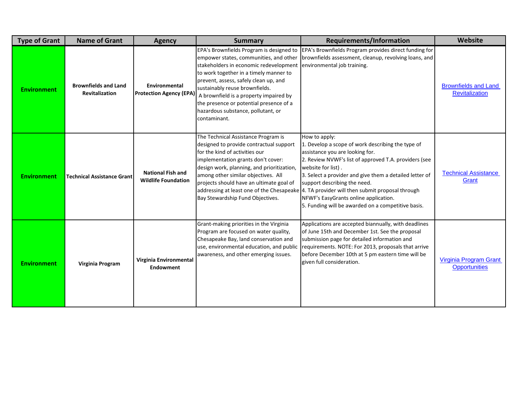| <b>Type of Grant</b> | <b>Name of Grant</b>                          | <b>Agency</b>                                          | <b>Summary</b>                                                                                                                                                                                                                                                                                                                                   | <b>Requirements/Information</b>                                                                                                                                                                                                                                                                                                                                                                                                                                              | Website                                              |
|----------------------|-----------------------------------------------|--------------------------------------------------------|--------------------------------------------------------------------------------------------------------------------------------------------------------------------------------------------------------------------------------------------------------------------------------------------------------------------------------------------------|------------------------------------------------------------------------------------------------------------------------------------------------------------------------------------------------------------------------------------------------------------------------------------------------------------------------------------------------------------------------------------------------------------------------------------------------------------------------------|------------------------------------------------------|
| <b>Environment</b>   | <b>Brownfields and Land</b><br>Revitalization | Environmental<br><b>Protection Agency (EPA)</b>        | empower states, communities, and other<br>stakeholders in economic redevelopment<br>to work together in a timely manner to<br>prevent, assess, safely clean up, and<br>sustainably reuse brownfields.<br>A brownfield is a property impaired by<br>the presence or potential presence of a<br>hazardous substance, pollutant, or<br>contaminant. | EPA's Brownfields Program is designed to EPA's Brownfields Program provides direct funding for<br>brownfields assessment, cleanup, revolving loans, and<br>environmental job training.                                                                                                                                                                                                                                                                                       | <b>Brownfields and Land</b><br><b>Revitalization</b> |
| <b>Environment</b>   | <b>Technical Assistance Grant</b>             | <b>National Fish and</b><br><b>Wildlife Foundation</b> | The Technical Assistance Program is<br>designed to provide contractual support<br>for the kind of activities our<br>implementation grants don't cover:<br>design work, planning, and prioritization,<br>among other similar objectives. All<br>projects should have an ultimate goal of<br>Bay Stewardship Fund Objectives.                      | How to apply:<br>1. Develop a scope of work describing the type of<br>assistance you are looking for.<br>2. Review NVWF's list of approved T.A. providers (see<br>website for list).<br>3. Select a provider and give them a detailed letter of<br>support describing the need.<br>addressing at least one of the Chesapeake 4. TA provider will then submit proposal through<br>NFWF's EasyGrants online application.<br>5. Funding will be awarded on a competitive basis. | <b>Technical Assistance</b><br>Grant                 |
| <b>Environment</b>   | Virginia Program                              | Virginia Environmental<br>Endowment                    | Grant-making priorities in the Virginia<br>Program are focused on water quality,<br>Chesapeake Bay, land conservation and<br>use, environmental education, and public<br>awareness, and other emerging issues.                                                                                                                                   | Applications are accepted biannually, with deadlines<br>of June 15th and December 1st. See the proposal<br>submission page for detailed information and<br>requirements. NOTE: For 2013, proposals that arrive<br>before December 10th at 5 pm eastern time will be<br>given full consideration.                                                                                                                                                                             | Virginia Program Grant<br><b>Opportunities</b>       |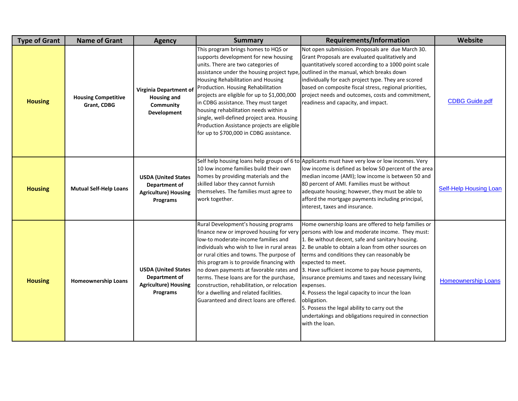| <b>Type of Grant</b> | <b>Name of Grant</b>                      | <b>Agency</b>                                                                          | <b>Summary</b>                                                                                                                                                                                                                                                                                                                                                                                                                                                                                                      | <b>Requirements/Information</b>                                                                                                                                                                                                                                                                                                                                                                                                                                                                                                                                                                                                                      | <b>Website</b>                |
|----------------------|-------------------------------------------|----------------------------------------------------------------------------------------|---------------------------------------------------------------------------------------------------------------------------------------------------------------------------------------------------------------------------------------------------------------------------------------------------------------------------------------------------------------------------------------------------------------------------------------------------------------------------------------------------------------------|------------------------------------------------------------------------------------------------------------------------------------------------------------------------------------------------------------------------------------------------------------------------------------------------------------------------------------------------------------------------------------------------------------------------------------------------------------------------------------------------------------------------------------------------------------------------------------------------------------------------------------------------------|-------------------------------|
| <b>Housing</b>       | <b>Housing Competitive</b><br>Grant, CDBG | Virginia Department of<br><b>Housing and</b><br>Community<br>Development               | This program brings homes to HQS or<br>supports development for new housing<br>units. There are two categories of<br>assistance under the housing project type,<br>Housing Rehabilitation and Housing<br>Production. Housing Rehabilitation<br>projects are eligible for up to \$1,000,000<br>in CDBG assistance. They must target<br>housing rehabilitation needs within a<br>single, well-defined project area. Housing<br>Production Assistance projects are eligible<br>for up to \$700,000 in CDBG assistance. | Not open submission. Proposals are due March 30.<br>Grant Proposals are evaluated qualitatively and<br>quantitatively scored according to a 1000 point scale<br>outlined in the manual, which breaks down<br>individually for each project type. They are scored<br>based on composite fiscal stress, regional priorities,<br>project needs and outcomes, costs and commitment,<br>readiness and capacity, and impact.                                                                                                                                                                                                                               | <b>CDBG Guide.pdf</b>         |
| <b>Housing</b>       | <b>Mutual Self-Help Loans</b>             | <b>USDA (United States</b><br>Department of<br><b>Agriculture) Housing</b><br>Programs | 10 low income families build their own<br>homes by providing materials and the<br>skilled labor they cannot furnish<br>themselves. The families must agree to<br>work together.                                                                                                                                                                                                                                                                                                                                     | Self help housing loans help groups of 6 to Applicants must have very low or low incomes. Very<br>low income is defined as below 50 percent of the area<br>median income (AMI); low income is between 50 and<br>80 percent of AMI. Families must be without<br>adequate housing; however, they must be able to<br>afford the mortgage payments including principal,<br>interest, taxes and insurance.                                                                                                                                                                                                                                                | <b>Self-Help Housing Loan</b> |
| <b>Housing</b>       | <b>Homeownership Loans</b>                | <b>USDA (United States</b><br>Department of<br><b>Agriculture) Housing</b><br>Programs | Rural Development's housing programs<br>low-to moderate-income families and<br>individuals who wish to live in rural areas<br>or rural cities and towns. The purpose of<br>this program is to provide financing with<br>no down payments at favorable rates and<br>terms. These loans are for the purchase,<br>construction, rehabilitation, or relocation<br>for a dwelling and related facilities.<br>Guaranteed and direct loans are offered.                                                                    | Home ownership loans are offered to help families or<br>finance new or improved housing for very   persons with low and moderate income. They must:<br>1. Be without decent, safe and sanitary housing.<br>2. Be unable to obtain a loan from other sources on<br>terms and conditions they can reasonably be<br>expected to meet.<br>3. Have sufficient income to pay house payments,<br>insurance premiums and taxes and necessary living<br>expenses.<br>4. Possess the legal capacity to incur the loan<br>obligation.<br>5. Possess the legal ability to carry out the<br>undertakings and obligations required in connection<br>with the loan. | <b>Homeownership Loans</b>    |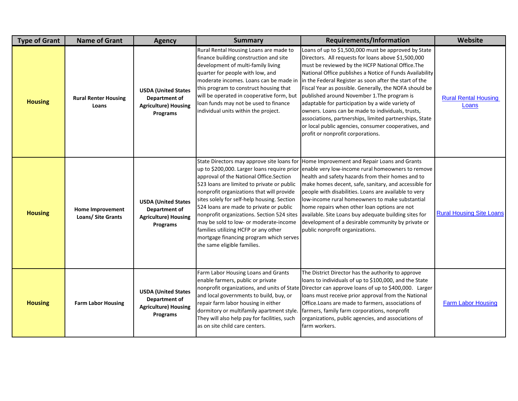| <b>Type of Grant</b> | <b>Name of Grant</b>                          | <b>Agency</b>                                                                                 | <b>Summary</b>                                                                                                                                                                                                                                                                                                                                                                                                                         | <b>Requirements/Information</b>                                                                                                                                                                                                                                                                                                                                                                                                                                                                                                                                                                                                                                  | <b>Website</b>                       |
|----------------------|-----------------------------------------------|-----------------------------------------------------------------------------------------------|----------------------------------------------------------------------------------------------------------------------------------------------------------------------------------------------------------------------------------------------------------------------------------------------------------------------------------------------------------------------------------------------------------------------------------------|------------------------------------------------------------------------------------------------------------------------------------------------------------------------------------------------------------------------------------------------------------------------------------------------------------------------------------------------------------------------------------------------------------------------------------------------------------------------------------------------------------------------------------------------------------------------------------------------------------------------------------------------------------------|--------------------------------------|
| <b>Housing</b>       | <b>Rural Renter Housing</b><br>Loans          | <b>USDA (United States</b><br><b>Department of</b><br><b>Agriculture) Housing</b><br>Programs | Rural Rental Housing Loans are made to<br>finance building construction and site<br>development of multi-family living<br>quarter for people with low, and<br>moderate incomes. Loans can be made in<br>this program to construct housing that<br>will be operated in cooperative form, but<br>loan funds may not be used to finance<br>individual units within the project.                                                           | Loans of up to \$1,500,000 must be approved by State<br>Directors. All requests for loans above \$1,500,000<br>must be reviewed by the HCFP National Office. The<br>National Office publishes a Notice of Funds Availability<br>in the Federal Register as soon after the start of the<br>Fiscal Year as possible. Generally, the NOFA should be<br>published around November 1. The program is<br>adaptable for participation by a wide variety of<br>owners. Loans can be made to individuals, trusts,<br>associations, partnerships, limited partnerships, State<br>or local public agencies, consumer cooperatives, and<br>profit or nonprofit corporations. | <b>Rural Rental Housing</b><br>Loans |
| <b>Housing</b>       | <b>Home Improvement</b><br>Loans/ Site Grants | <b>USDA (United States</b><br>Department of<br><b>Agriculture) Housing</b><br>Programs        | approval of the National Office.Section<br>523 loans are limited to private or public<br>nonprofit organizations that will provide<br>sites solely for self-help housing. Section<br>524 loans are made to private or public<br>nonprofit organizations. Section 524 sites<br>may be sold to low- or moderate-income<br>families utilizing HCFP or any other<br>mortgage financing program which serves<br>the same eligible families. | State Directors may approve site loans for Home Improvement and Repair Loans and Grants<br>up to \$200,000. Larger loans require prior enable very low-income rural homeowners to remove<br>health and safety hazards from their homes and to<br>make homes decent, safe, sanitary, and accessible for<br>people with disabilities. Loans are available to very<br>low-income rural homeowners to make substantial<br>home repairs when other loan options are not<br>available. Site Loans buy adequate building sites for<br>development of a desirable community by private or<br>public nonprofit organizations.                                             | <b>Rural Housing Site Loans</b>      |
| <b>Housing</b>       | <b>Farm Labor Housing</b>                     | <b>USDA (United States</b><br>Department of<br><b>Agriculture) Housing</b><br>Programs        | Farm Labor Housing Loans and Grants<br>enable farmers, public or private<br>and local governments to build, buy, or<br>repair farm labor housing in either<br>dormitory or multifamily apartment style.<br>They will also help pay for facilities, such<br>as on site child care centers.                                                                                                                                              | The District Director has the authority to approve<br>loans to individuals of up to \$100,000, and the State<br>nonprofit organizations, and units of State Director can approve loans of up to \$400,000. Larger<br>loans must receive prior approval from the National<br>Office. Loans are made to farmers, associations of<br>farmers, family farm corporations, nonprofit<br>organizations, public agencies, and associations of<br>farm workers.                                                                                                                                                                                                           | <b>Farm Labor Housing</b>            |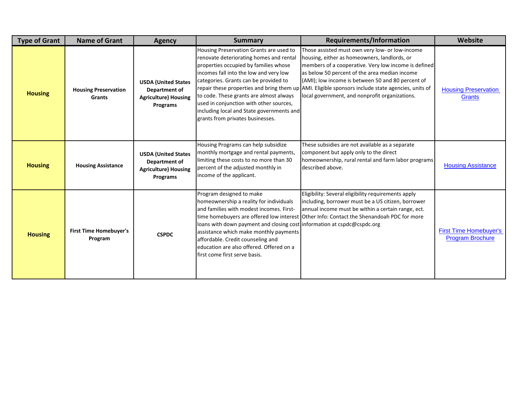| <b>Type of Grant</b> | <b>Name of Grant</b>                     | <b>Agency</b>                                                                          | <b>Summary</b>                                                                                                                                                                                                                                                                                                                                                                        | Requirements/Information                                                                                                                                                                                                                                                                                                                                                                                             | Website                                                  |
|----------------------|------------------------------------------|----------------------------------------------------------------------------------------|---------------------------------------------------------------------------------------------------------------------------------------------------------------------------------------------------------------------------------------------------------------------------------------------------------------------------------------------------------------------------------------|----------------------------------------------------------------------------------------------------------------------------------------------------------------------------------------------------------------------------------------------------------------------------------------------------------------------------------------------------------------------------------------------------------------------|----------------------------------------------------------|
| <b>Housing</b>       | <b>Housing Preservation</b><br>Grants    | <b>USDA (United States</b><br>Department of<br><b>Agriculture) Housing</b><br>Programs | Housing Preservation Grants are used to<br>renovate deteriorating homes and rental<br>properties occupied by families whose<br>incomes fall into the low and very low<br>categories. Grants can be provided to<br>to code. These grants are almost always<br>used in conjunction with other sources,<br>including local and State governments and<br>grants from privates businesses. | Those assisted must own very low- or low-income<br>housing, either as homeowners, landlords, or<br>members of a cooperative. Very low income is defined<br>as below 50 percent of the area median income<br>(AMI); low income is between 50 and 80 percent of<br>repair these properties and bring them up AMI. Eligible sponsors include state agencies, units of<br>local government, and nonprofit organizations. | <b>Housing Preservation</b><br>Grants                    |
| <b>Housing</b>       | <b>Housing Assistance</b>                | <b>USDA (United States</b><br>Department of<br><b>Agriculture) Housing</b><br>Programs | Housing Programs can help subsidize<br>monthly mortgage and rental payments,<br>limiting these costs to no more than 30<br>percent of the adjusted monthly in<br>income of the applicant.                                                                                                                                                                                             | These subsidies are not available as a separate<br>component but apply only to the direct<br>homeownership, rural rental and farm labor programs<br>described above.                                                                                                                                                                                                                                                 | <b>Housing Assistance</b>                                |
| <b>Housing</b>       | <b>First Time Homebuyer's</b><br>Program | <b>CSPDC</b>                                                                           | Program designed to make<br>homeownership a reality for individuals<br>and families with modest incomes. First-<br>loans with down payment and closing cost information at cspdc@cspdc.org<br>assistance which make monthly payments<br>affordable. Credit counseling and<br>education are also offered. Offered on a<br>first come first serve basis.                                | Eligibility: Several eligibility requirements apply<br>including, borrower must be a US citizen, borrower<br>annual income must be within a certain range, ect.<br>time homebuyers are offered low interest Other Info: Contact the Shenandoah PDC for more                                                                                                                                                          | <b>First Time Homebuyer's</b><br><b>Program Brochure</b> |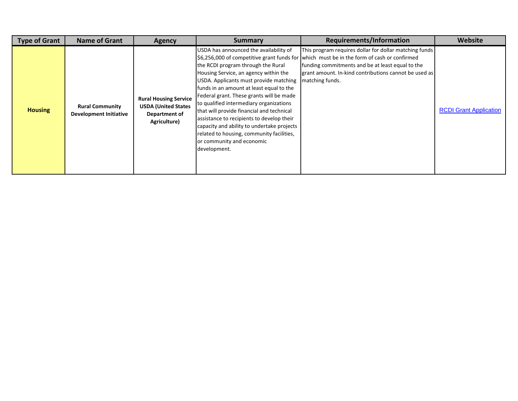| <b>Type of Grant</b> | Name of Grant                                           | <b>Agency</b>                                                                               | <b>Summary</b>                                                                                                                                                                                                                                                                                                                                                                                                                                                                                                                       | <b>Requirements/Information</b>                                                                                                                                                                                                                                                     | Website                       |
|----------------------|---------------------------------------------------------|---------------------------------------------------------------------------------------------|--------------------------------------------------------------------------------------------------------------------------------------------------------------------------------------------------------------------------------------------------------------------------------------------------------------------------------------------------------------------------------------------------------------------------------------------------------------------------------------------------------------------------------------|-------------------------------------------------------------------------------------------------------------------------------------------------------------------------------------------------------------------------------------------------------------------------------------|-------------------------------|
| <b>Housing</b>       | <b>Rural Community</b><br><b>Development Initiative</b> | <b>Rural Housing Service</b><br><b>USDA (United States</b><br>Department of<br>Agriculture) | USDA has announced the availability of<br>the RCDI program through the Rural<br>Housing Service, an agency within the<br>USDA. Applicants must provide matching<br>funds in an amount at least equal to the<br>Federal grant. These grants will be made<br>to qualified intermediary organizations<br>that will provide financial and technical<br>assistance to recipients to develop their<br>capacity and ability to undertake projects<br>related to housing, community facilities,<br>or community and economic<br>development. | This program requires dollar for dollar matching funds<br>\$6,256,000 of competitive grant funds for which must be in the form of cash or confirmed<br>funding commitments and be at least equal to the<br>grant amount. In-kind contributions cannot be used as<br>matching funds. | <b>RCDI Grant Application</b> |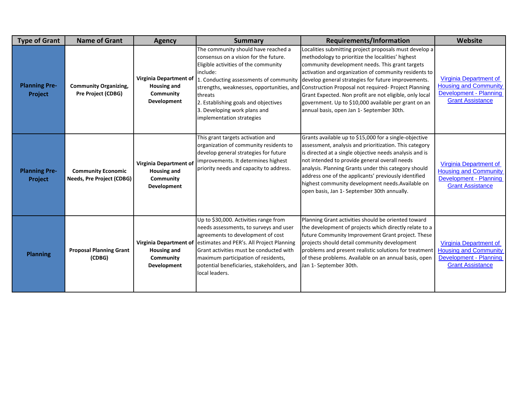| <b>Type of Grant</b>            | <b>Name of Grant</b>                                   | <b>Agency</b>                                                                          | <b>Summary</b>                                                                                                                                                                                                                                                                                                      | <b>Requirements/Information</b>                                                                                                                                                                                                                                                                                                                                                                                                                                                                                                                  | Website                                                                                                            |
|---------------------------------|--------------------------------------------------------|----------------------------------------------------------------------------------------|---------------------------------------------------------------------------------------------------------------------------------------------------------------------------------------------------------------------------------------------------------------------------------------------------------------------|--------------------------------------------------------------------------------------------------------------------------------------------------------------------------------------------------------------------------------------------------------------------------------------------------------------------------------------------------------------------------------------------------------------------------------------------------------------------------------------------------------------------------------------------------|--------------------------------------------------------------------------------------------------------------------|
| <b>Planning Pre-</b><br>Project | <b>Community Organizing,</b><br>Pre Project (CDBG)     | Virginia Department of<br><b>Housing and</b><br>Community<br>Development               | The community should have reached a<br>consensus on a vision for the future.<br>Eligible activities of the community<br>include:<br>1. Conducting assessments of community<br>threats<br>2. Establishing goals and objectives<br>3. Developing work plans and<br>implementation strategies                          | Localities submitting project proposals must develop a<br>methodology to prioritize the localities' highest<br>community development needs. This grant targets<br>activation and organization of community residents to<br>develop general strategies for future improvements.<br>strengths, weaknesses, opportunities, and Construction Proposal not required- Project Planning<br>Grant Expected. Non profit are not eligible, only local<br>government. Up to \$10,000 available per grant on an<br>annual basis, open Jan 1- September 30th. | Virginia Department of<br><b>Housing and Community</b><br>Development - Planning<br><b>Grant Assistance</b>        |
| <b>Planning Pre-</b><br>Project | <b>Community Economic</b><br>Needs, Pre Project (CDBG) | Virginia Department of<br><b>Housing and</b><br>Community<br>Development               | This grant targets activation and<br>organization of community residents to<br>develop general strategies for future<br>improvements. It determines highest<br>priority needs and capacity to address.                                                                                                              | Grants available up to \$15,000 for a single-objective<br>assessment, analysis and prioritization. This category<br>is directed at a single objective needs analysis and is<br>not intended to provide general overall needs<br>analysis. Planning Grants under this category should<br>address one of the applicants' previously identified<br>highest community development needs. Available on<br>open basis, Jan 1- September 30th annually.                                                                                                 | Virginia Department of<br><b>Housing and Community</b><br><b>Development - Planning</b><br><b>Grant Assistance</b> |
| <b>Planning</b>                 | <b>Proposal Planning Grant</b><br>(CDBG)               | <b>Virginia Department of</b><br><b>Housing and</b><br>Community<br><b>Development</b> | Up to \$30,000. Activities range from<br>needs assessments, to surveys and user<br>agreements to development of cost<br>estimates and PER's. All Project Planning<br>Grant activities must be conducted with<br>maximum participation of residents,<br>potential beneficiaries, stakeholders, and<br>local leaders. | Planning Grant activities should be oriented toward<br>the development of projects which directly relate to a<br>future Community Improvement Grant project. These<br>projects should detail community development<br>problems and present realistic solutions for treatment<br>of these problems. Available on an annual basis, open<br>Jan 1- September 30th.                                                                                                                                                                                  | Virginia Department of<br><b>Housing and Community</b><br>Development - Planning<br><b>Grant Assistance</b>        |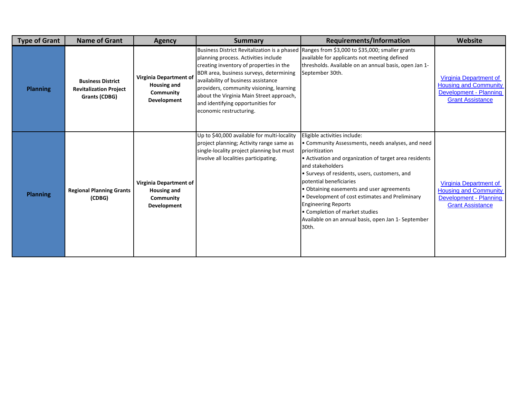| <b>Type of Grant</b> | <b>Name of Grant</b>                                                       | <b>Agency</b>                                                                   | <b>Summary</b>                                                                                                                                                                                                                                                                                                                                                            | <b>Requirements/Information</b>                                                                                                                                                                                                                                                                                                                                                                                                                                                               | <b>Website</b>                                                                                              |
|----------------------|----------------------------------------------------------------------------|---------------------------------------------------------------------------------|---------------------------------------------------------------------------------------------------------------------------------------------------------------------------------------------------------------------------------------------------------------------------------------------------------------------------------------------------------------------------|-----------------------------------------------------------------------------------------------------------------------------------------------------------------------------------------------------------------------------------------------------------------------------------------------------------------------------------------------------------------------------------------------------------------------------------------------------------------------------------------------|-------------------------------------------------------------------------------------------------------------|
| <b>Planning</b>      | <b>Business District</b><br><b>Revitalization Project</b><br>Grants (CDBG) | Virginia Department of<br><b>Housing and</b><br>Community<br>Development        | Business District Revitalization is a phased<br>planning process. Activities include<br>creating inventory of properties in the<br>BDR area, business surveys, determining<br>availability of business assistance<br>providers, community visioning, learning<br>about the Virginia Main Street approach,<br>and identifying opportunities for<br>economic restructuring. | Ranges from \$3,000 to \$35,000; smaller grants<br>available for applicants not meeting defined<br>thresholds. Available on an annual basis, open Jan 1-<br>September 30th.                                                                                                                                                                                                                                                                                                                   | Virginia Department of<br><b>Housing and Community</b><br>Development - Planning<br><b>Grant Assistance</b> |
| <b>Planning</b>      | <b>Regional Planning Grants</b><br>(CDBG)                                  | <b>Virginia Department of</b><br><b>Housing and</b><br>Community<br>Development | Up to \$40,000 available for multi-locality<br>project planning; Activity range same as<br>single-locality project planning but must<br>involve all localities participating.                                                                                                                                                                                             | Eligible activities include:<br>• Community Assessments, needs analyses, and need<br>prioritization<br>• Activation and organization of target area residents<br>and stakeholders<br>• Surveys of residents, users, customers, and<br>potential beneficiaries<br>• Obtaining easements and user agreements<br>• Development of cost estimates and Preliminary<br><b>Engineering Reports</b><br>• Completion of market studies<br>Available on an annual basis, open Jan 1- September<br>30th. | Virginia Department of<br><b>Housing and Community</b><br>Development - Planning<br><b>Grant Assistance</b> |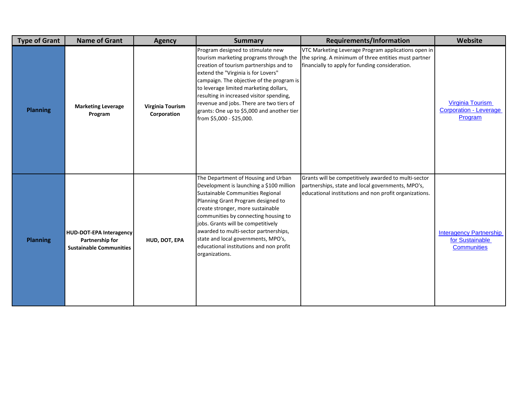| <b>Type of Grant</b> | <b>Name of Grant</b>                                                                | <b>Agency</b>                   | <b>Summary</b>                                                                                                                                                                                                                                                                                                                                                                                                            | <b>Requirements/Information</b>                                                                                                                                     | Website                                                                 |
|----------------------|-------------------------------------------------------------------------------------|---------------------------------|---------------------------------------------------------------------------------------------------------------------------------------------------------------------------------------------------------------------------------------------------------------------------------------------------------------------------------------------------------------------------------------------------------------------------|---------------------------------------------------------------------------------------------------------------------------------------------------------------------|-------------------------------------------------------------------------|
| <b>Planning</b>      | <b>Marketing Leverage</b><br>Program                                                | Virginia Tourism<br>Corporation | Program designed to stimulate new<br>tourism marketing programs through the<br>creation of tourism partnerships and to<br>extend the "Virginia is for Lovers"<br>campaign. The objective of the program is<br>to leverage limited marketing dollars,<br>resulting in increased visitor spending,<br>revenue and jobs. There are two tiers of<br>grants: One up to \$5,000 and another tier<br>from \$5,000 - \$25,000.    | VTC Marketing Leverage Program applications open in<br>the spring. A minimum of three entities must partner<br>financially to apply for funding consideration.      | <b>Virginia Tourism</b><br><b>Corporation - Leverage</b><br>Program     |
| <b>Planning</b>      | <b>HUD-DOT-EPA Interagency</b><br>Partnership for<br><b>Sustainable Communities</b> | HUD, DOT, EPA                   | The Department of Housing and Urban<br>Development is launching a \$100 million<br>Sustainable Communities Regional<br>Planning Grant Program designed to<br>create stronger, more sustainable<br>communities by connecting housing to<br>jobs. Grants will be competitively<br>awarded to multi-sector partnerships,<br>state and local governments, MPO's,<br>educational institutions and non profit<br>organizations. | Grants will be competitively awarded to multi-sector<br>partnerships, state and local governments, MPO's,<br>educational institutions and non profit organizations. | <b>Interagency Partnership</b><br>for Sustainable<br><b>Communities</b> |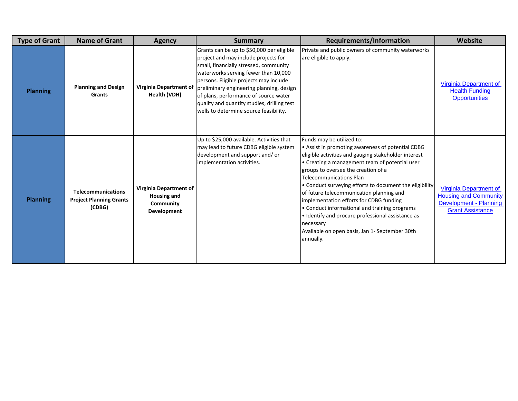| <b>Type of Grant</b> | <b>Name of Grant</b>                                                  | <b>Agency</b>                                                     | <b>Summary</b>                                                                                                                                                                                                                                                                                                                                                                              | <b>Requirements/Information</b>                                                                                                                                                                                                                                                                                                                                                                                                                                                                                                                                                                       | Website                                                                                                     |
|----------------------|-----------------------------------------------------------------------|-------------------------------------------------------------------|---------------------------------------------------------------------------------------------------------------------------------------------------------------------------------------------------------------------------------------------------------------------------------------------------------------------------------------------------------------------------------------------|-------------------------------------------------------------------------------------------------------------------------------------------------------------------------------------------------------------------------------------------------------------------------------------------------------------------------------------------------------------------------------------------------------------------------------------------------------------------------------------------------------------------------------------------------------------------------------------------------------|-------------------------------------------------------------------------------------------------------------|
| <b>Planning</b>      | <b>Planning and Design</b><br><b>Grants</b>                           | Virginia Department of<br>Health (VDH)                            | Grants can be up to \$50,000 per eligible<br>project and may include projects for<br>small, financially stressed, community<br>waterworks serving fewer than 10,000<br>persons. Eligible projects may include<br>preliminary engineering planning, design<br>of plans, performance of source water<br>quality and quantity studies, drilling test<br>wells to determine source feasibility. | Private and public owners of community waterworks<br>are eligible to apply.                                                                                                                                                                                                                                                                                                                                                                                                                                                                                                                           | Virginia Department of<br><b>Health Funding</b><br><b>Opportunities</b>                                     |
| <b>Planning</b>      | <b>Telecommunications</b><br><b>Project Planning Grants</b><br>(CDBG) | Virginia Department of<br>Housing and<br>Community<br>Development | Up to \$25,000 available. Activities that<br>may lead to future CDBG eligible system<br>development and support and/or<br>implementation activities.                                                                                                                                                                                                                                        | Funds may be utilized to:<br>• Assist in promoting awareness of potential CDBG<br>eligible activities and gauging stakeholder interest<br>• Creating a management team of potential user<br>groups to oversee the creation of a<br><b>Telecommunications Plan</b><br>• Conduct surveying efforts to document the eligibility<br>of future telecommunication planning and<br>implementation efforts for CDBG funding<br>• Conduct informational and training programs<br>• Identify and procure professional assistance as<br>necessary<br>Available on open basis, Jan 1- September 30th<br>annually. | Virginia Department of<br><b>Housing and Community</b><br>Development - Planning<br><b>Grant Assistance</b> |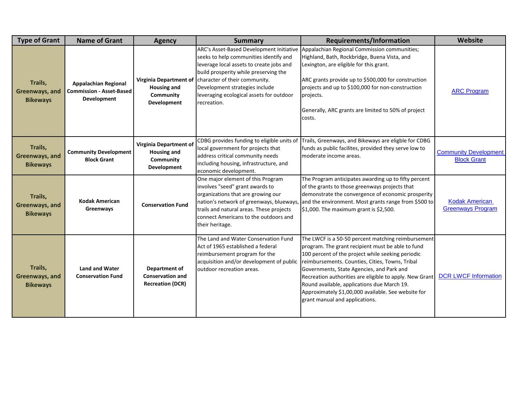| <b>Type of Grant</b>                         | <b>Name of Grant</b>                                                          | <b>Agency</b>                                                                   | <b>Summary</b>                                                                                                                                                                                                                                                                                                               | <b>Requirements/Information</b>                                                                                                                                                                                                                                                                                                                                                                                                                                 | Website                                            |
|----------------------------------------------|-------------------------------------------------------------------------------|---------------------------------------------------------------------------------|------------------------------------------------------------------------------------------------------------------------------------------------------------------------------------------------------------------------------------------------------------------------------------------------------------------------------|-----------------------------------------------------------------------------------------------------------------------------------------------------------------------------------------------------------------------------------------------------------------------------------------------------------------------------------------------------------------------------------------------------------------------------------------------------------------|----------------------------------------------------|
| Trails,<br>Greenways, and<br><b>Bikeways</b> | <b>Appalachian Regional</b><br><b>Commission - Asset-Based</b><br>Development | Housing and<br>Community<br>Development                                         | ARC's Asset-Based Development Initiative<br>seeks to help communities identify and<br>leverage local assets to create jobs and<br>build prosperity while preserving the<br>Virginia Department of character of their community.<br>Development strategies include<br>leveraging ecological assets for outdoor<br>recreation. | Appalachian Regional Commission communities;<br>Highland, Bath, Rockbridge, Buena Vista, and<br>Lexington, are eligible for this grant.<br>ARC grants provide up to \$500,000 for construction<br>projects and up to \$100,000 for non-construction<br>projects.<br>Generally, ARC grants are limited to 50% of project<br>costs.                                                                                                                               | <b>ARC Program</b>                                 |
| Trails,<br>Greenways, and<br><b>Bikeways</b> | <b>Community Development</b><br><b>Block Grant</b>                            | <b>Virginia Department of</b><br><b>Housing and</b><br>Community<br>Development | CDBG provides funding to eligible units of<br>local government for projects that<br>address critical community needs<br>including housing, infrastructure, and<br>economic development.                                                                                                                                      | Trails, Greenways, and Bikeways are eligble for CDBG<br>funds as public facilites, provided they serve low to<br>moderate income areas.                                                                                                                                                                                                                                                                                                                         | <b>Community Development</b><br><b>Block Grant</b> |
| Trails,<br>Greenways, and<br><b>Bikeways</b> | <b>Kodak American</b><br>Greenways                                            | <b>Conservation Fund</b>                                                        | One major element of this Program<br>involves "seed" grant awards to<br>organizations that are growing our<br>nation's network of greenways, blueways,<br>trails and natural areas. These projects<br>connect Americans to the outdoors and<br>their heritage.                                                               | The Program anticipates awarding up to fifty percent<br>of the grants to those greenways projects that<br>demonstrate the convergence of economic prosperity<br>and the environment. Most grants range from \$500 to<br>$$1,000$ . The maximum grant is $$2,500$ .                                                                                                                                                                                              | <b>Kodak American</b><br><b>Greenways Program</b>  |
| Trails,<br>Greenways, and<br><b>Bikeways</b> | <b>Land and Water</b><br><b>Conservation Fund</b>                             | Department of<br><b>Conservation and</b><br><b>Recreation (DCR)</b>             | The Land and Water Conservation Fund<br>Act of 1965 established a federal<br>reimbursement program for the<br>acquisition and/or development of public<br>outdoor recreation areas.                                                                                                                                          | The LWCF is a 50-50 percent matching reimbursement<br>program. The grant recipient must be able to fund<br>100 percent of the project while seeking periodic<br>reimbursements. Counties, Cities, Towns, Tribal<br>Governments, State Agencies, and Park and<br>Recreation authorities are eligible to apply. New Grant<br>Round available, applications due March 19.<br>Approximately \$1,00,000 available. See website for<br>grant manual and applications. | <b>DCR LWCF Information</b>                        |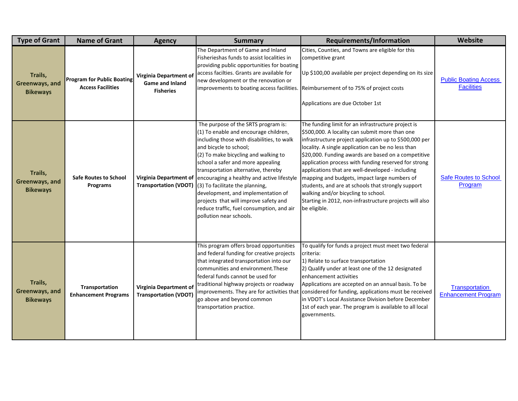| <b>Type of Grant</b>                         | <b>Name of Grant</b>                                          | <b>Agency</b>                                                 | <b>Summary</b>                                                                                                                                                                                                                                                                                                                                                                                                                                                                                                                                                | <b>Requirements/Information</b>                                                                                                                                                                                                                                                                                                                                                                                                                                                                                                                                                                                 | Website                                           |
|----------------------------------------------|---------------------------------------------------------------|---------------------------------------------------------------|---------------------------------------------------------------------------------------------------------------------------------------------------------------------------------------------------------------------------------------------------------------------------------------------------------------------------------------------------------------------------------------------------------------------------------------------------------------------------------------------------------------------------------------------------------------|-----------------------------------------------------------------------------------------------------------------------------------------------------------------------------------------------------------------------------------------------------------------------------------------------------------------------------------------------------------------------------------------------------------------------------------------------------------------------------------------------------------------------------------------------------------------------------------------------------------------|---------------------------------------------------|
| Trails,<br>Greenways, and<br><b>Bikeways</b> | <b>Program for Public Boating</b><br><b>Access Facilities</b> | Virginia Department of<br>Game and Inland<br><b>Fisheries</b> | The Department of Game and Inland<br>Fisherieshas funds to assist localities in<br>providing public opportunities for boating<br>access facilties. Grants are available for<br>new development or the renovation or                                                                                                                                                                                                                                                                                                                                           | Cities, Counties, and Towns are eligible for this<br>competitive grant<br>Up \$100,00 available per project depending on its size<br>improvements to boating access facilities. Reimbursement of to 75% of project costs<br>Applications are due October 1st                                                                                                                                                                                                                                                                                                                                                    | <b>Public Boating Access</b><br><b>Facilities</b> |
| Trails,<br>Greenways, and<br><b>Bikeways</b> | <b>Safe Routes to School</b><br>Programs                      |                                                               | The purpose of the SRTS program is:<br>(1) To enable and encourage children,<br>including those with disabilities, to walk<br>and bicycle to school;<br>(2) To make bicycling and walking to<br>school a safer and more appealing<br>transportation alternative, thereby<br>Virginia Department of encouraging a healthy and active lifestyle<br>Transportation (VDOT) (3) To facilitate the planning,<br>development, and implementation of<br>projects that will improve safety and<br>reduce traffic, fuel consumption, and air<br>pollution near schools. | The funding limit for an infrastructure project is<br>\$500,000. A locality can submit more than one<br>infrastructure project application up to \$500,000 per<br>locality. A single application can be no less than<br>\$20,000. Funding awards are based on a competitive<br>application process with funding reserved for strong<br>applications that are well-developed - including<br>mapping and budgets, impact large numbers of<br>students, and are at schools that strongly support<br>walking and/or bicycling to school.<br>Starting in 2012, non-infrastructure projects will also<br>be eligible. | <b>Safe Routes to School</b><br>Program           |
| Trails,<br>Greenways, and<br><b>Bikeways</b> | Transportation<br><b>Enhancement Programs</b>                 | Virginia Department of<br><b>Transportation (VDOT)</b>        | This program offers broad opportunities<br>and federal funding for creative projects<br>that integrated transportation into our<br>communities and environment. These<br>federal funds cannot be used for<br>traditional highway projects or roadway<br>go above and beyond common<br>transportation practice.                                                                                                                                                                                                                                                | To qualify for funds a project must meet two federal<br>criteria:<br>1) Relate to surface transportation<br>2) Qualify under at least one of the 12 designated<br>enhancement activities<br>Applications are accepted on an annual basis. To be<br>improvements. They are for activities that considered for funding, applications must be received<br>in VDOT's Local Assistance Division before December<br>1st of each year. The program is available to all local<br>governments.                                                                                                                           | Transportation<br><b>Enhancement Program</b>      |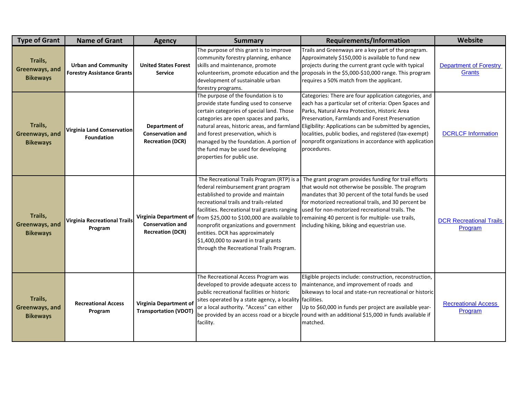| <b>Type of Grant</b>                         | <b>Name of Grant</b>                                            | <b>Agency</b>                                                                | <b>Summary</b>                                                                                                                                                                                                                                                                                                                                                                       | <b>Requirements/Information</b>                                                                                                                                                                                                                                                                                                                                                                                                                                | Website                                   |
|----------------------------------------------|-----------------------------------------------------------------|------------------------------------------------------------------------------|--------------------------------------------------------------------------------------------------------------------------------------------------------------------------------------------------------------------------------------------------------------------------------------------------------------------------------------------------------------------------------------|----------------------------------------------------------------------------------------------------------------------------------------------------------------------------------------------------------------------------------------------------------------------------------------------------------------------------------------------------------------------------------------------------------------------------------------------------------------|-------------------------------------------|
| Trails,<br>Greenways, and<br><b>Bikeways</b> | <b>Urban and Community</b><br><b>Forestry Assistance Grants</b> | <b>United States Forest</b><br><b>Service</b>                                | The purpose of this grant is to improve<br>community forestry planning, enhance<br>skills and maintenance, promote<br>development of sustainable urban<br>forestry programs.                                                                                                                                                                                                         | Trails and Greenways are a key part of the program.<br>Approximately \$150,000 is available to fund new<br>projects during the current grant cycle with typical<br>volunteerism, promote education and the proposals in the \$5,000-\$10,000 range. This program<br>requires a 50% match from the applicant.                                                                                                                                                   | <b>Department of Forestry</b><br>Grants   |
| Trails,<br>Greenways, and<br><b>Bikeways</b> | <b>Virginia Land Conservation</b><br><b>Foundation</b>          | Department of<br><b>Conservation and</b><br><b>Recreation (DCR)</b>          | The purpose of the foundation is to<br>provide state funding used to conserve<br>certain categories of special land. Those<br>categories are open spaces and parks,<br>and forest preservation, which is<br>managed by the foundation. A portion of<br>the fund may be used for developing<br>properties for public use.                                                             | Categories: There are four application categories, and<br>each has a particular set of criteria: Open Spaces and<br>Parks, Natural Area Protection, Historic Area<br>Preservation, Farmlands and Forest Preservation<br>natural areas, historic areas, and farmland Eligibility: Applications can be submitted by agencies,<br>localities, public bodies, and registered (tax-exempt)<br>nonprofit organizations in accordance with application<br>procedures. | <b>DCRLCF Information</b>                 |
| Trails,<br>Greenways, and<br><b>Bikeways</b> | <b>Virginia Recreational Trails</b><br>Program                  | Virginia Department of<br><b>Conservation and</b><br><b>Recreation (DCR)</b> | The Recreational Trails Program (RTP) is a<br>federal reimbursement grant program<br>established to provide and maintain<br>recreational trails and trails-related<br>facilities. Recreational trail grants ranging<br>nonprofit organizations and government<br>entities. DCR has approximately<br>\$1,400,000 to award in trail grants<br>through the Recreational Trails Program. | The grant program provides funding for trail efforts<br>that would not otherwise be possible. The program<br>mandates that 30 percent of the total funds be used<br>for motorized recreational trails, and 30 percent be<br>used for non-motorized recreational trails. The<br>from \$25,000 to \$100,000 are available to remaining 40 percent is for multiple- use trails,<br>including hiking, biking and equestrian use.                                   | <b>DCR Recreational Trails</b><br>Program |
| Trails,<br>Greenways, and<br><b>Bikeways</b> | <b>Recreational Access</b><br>Program                           | Virginia Department of<br><b>Transportation (VDOT</b>                        | The Recreational Access Program was<br>developed to provide adequate access to<br>public recreational facilities or historic<br>sites operated by a state agency, a locality facilities.<br>or a local authority. "Access" can either<br>facility.                                                                                                                                   | Eligible projects include: construction, reconstruction,<br>maintenance, and improvement of roads and<br>bikeways to local and state-run recreational or historic<br>Up to \$60,000 in funds per project are available year-<br>be provided by an access road or a bicycle round with an additional \$15,000 in funds available if<br>matched.                                                                                                                 | <b>Recreational Access</b><br>Program     |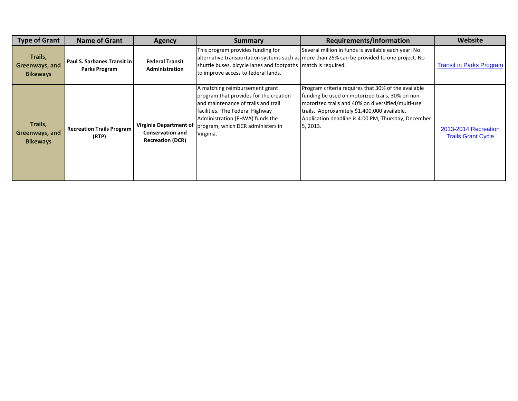| <b>Type of Grant</b>                         | <b>Name of Grant</b>                         | <b>Agency</b>                                                                | Summary                                                                                                                                                                                                                                 | <b>Requirements/Information</b>                                                                                                                                                                                                                                                 | Website                                           |
|----------------------------------------------|----------------------------------------------|------------------------------------------------------------------------------|-----------------------------------------------------------------------------------------------------------------------------------------------------------------------------------------------------------------------------------------|---------------------------------------------------------------------------------------------------------------------------------------------------------------------------------------------------------------------------------------------------------------------------------|---------------------------------------------------|
| Trails,<br>Greenways, and<br><b>Bikeways</b> | Paul S. Sarbanes Transit in<br>Parks Program | <b>Federal Transit</b><br>Administration                                     | This program provides funding for<br>shuttle buses, bicycle lanes and footpaths match is required.<br>to improve access to federal lands.                                                                                               | Several million in funds is available each year. No<br>alternative transportation systems such as more than 25% can be provided to one project. No                                                                                                                              | <b>Transit in Parks Program</b>                   |
| Trails,<br>Greenways, and<br><b>Bikeways</b> | <b>Recreation Trails Program</b><br>(RTP)    | Virginia Department of<br><b>Conservation and</b><br><b>Recreation (DCR)</b> | A matching reimbursement grant<br>program that provides for the creation<br>and maintenance of trails and trail<br>facilities. The Federal Highway<br>Administration (FHWA) funds the<br>program, which DCR administers in<br>Virginia. | Program criteria requires that 30% of the available<br>funding be used on motorized trails, 30% on non-<br>motorized trails and 40% on diversified/multi-use<br>trails. Approxamitely \$1,400,000 available.<br>Application deadline is 4:00 PM, Thursday, December<br>5, 2013. | 2013-2014 Recreation<br><b>Trails Grant Cycle</b> |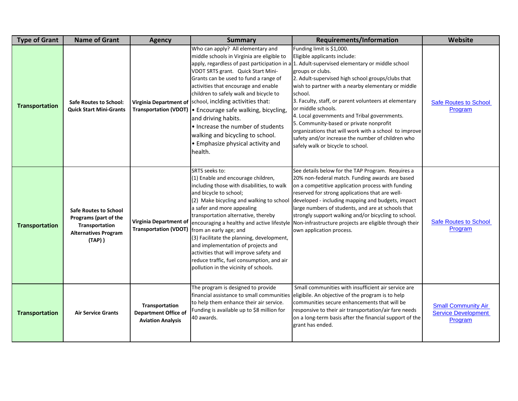| <b>Type of Grant</b>  | <b>Name of Grant</b>                                                                                                   | <b>Agency</b>                                                             | <b>Summary</b>                                                                                                                                                                                                                                                                                                                                                                                                                                                                                                               | <b>Requirements/Information</b>                                                                                                                                                                                                                                                                                                                                                                                                                                                                                                                                                                                                  | <b>Website</b>                                                      |
|-----------------------|------------------------------------------------------------------------------------------------------------------------|---------------------------------------------------------------------------|------------------------------------------------------------------------------------------------------------------------------------------------------------------------------------------------------------------------------------------------------------------------------------------------------------------------------------------------------------------------------------------------------------------------------------------------------------------------------------------------------------------------------|----------------------------------------------------------------------------------------------------------------------------------------------------------------------------------------------------------------------------------------------------------------------------------------------------------------------------------------------------------------------------------------------------------------------------------------------------------------------------------------------------------------------------------------------------------------------------------------------------------------------------------|---------------------------------------------------------------------|
| <b>Transportation</b> | <b>Safe Routes to School:</b><br><b>Quick Start Mini-Grants</b>                                                        |                                                                           | Who can apply? All elementary and<br>middle schools in Virginia are eligible to<br>VDOT SRTS grant. Quick Start Mini-<br>Grants can be used to fund a range of<br>activities that encourage and enable<br>children to safely walk and bicycle to<br>Virginia Department of   school, inclding activities that:<br>Transportation (VDOT)   Encourage safe walking, bicycling,<br>and driving habits.<br>• Increase the number of students<br>walking and bicycling to school.<br>• Emphasize physical activity and<br>health. | Funding limit is \$1,000.<br>Eligible applicants include:<br>apply, regardless of past participation in a 1. Adult-supervised elementary or middle school<br>groups or clubs.<br>2. Adult-supervised high school groups/clubs that<br>wish to partner with a nearby elementary or middle<br>school.<br>3. Faculty, staff, or parent volunteers at elementary<br>or middle schools.<br>4. Local governments and Tribal governments.<br>5. Community-based or private nonprofit<br>organizations that will work with a school to improve<br>safety and/or increase the number of children who<br>safely walk or bicycle to school. | <b>Safe Routes to School</b><br>Program                             |
| <b>Transportation</b> | <b>Safe Routes to School</b><br><b>Programs (part of the</b><br>Transportation<br><b>Alternatives Program</b><br>(TAP) | <b>Virginia Department of</b><br><b>Transportation (VDOT)</b>             | <b>SRTS</b> seeks to:<br>(1) Enable and encourage children,<br>including those with disabilities, to walk<br>and bicycle to school;<br>a safer and more appealing<br>transportation alternative, thereby<br>from an early age; and<br>(3) Facilitate the planning, development,<br>and implementation of projects and<br>activities that will improve safety and<br>reduce traffic, fuel consumption, and air<br>pollution in the vicinity of schools.                                                                       | See details below for the TAP Program. Requires a<br>20% non-federal match. Funding awards are based<br>on a competitive application process with funding<br>reserved for strong applications that are well-<br>(2) Make bicycling and walking to school developed - including mapping and budgets, impact<br>large numbers of students, and are at schools that<br>strongly support walking and/or bicycling to school.<br>encouraging a healthy and active lifestyle Non-infrastructure projects are eligible through their<br>lown application process.                                                                       | <b>Safe Routes to School</b><br><b>Program</b>                      |
| <b>Transportation</b> | <b>Air Service Grants</b>                                                                                              | Transportation<br><b>Department Office of</b><br><b>Aviation Analysis</b> | The program is designed to provide<br>to help them enhance their air service.<br>Funding is available up to \$8 million for<br>40 awards.                                                                                                                                                                                                                                                                                                                                                                                    | Small communities with insufficient air service are<br>financial assistance to small communities eligibile. An objective of the program is to help<br>communities secure enhancements that will be<br>responsive to their air transportation/air fare needs<br>on a long-term basis after the financial support of the<br>grant has ended.                                                                                                                                                                                                                                                                                       | <b>Small Community Air</b><br><b>Service Development</b><br>Program |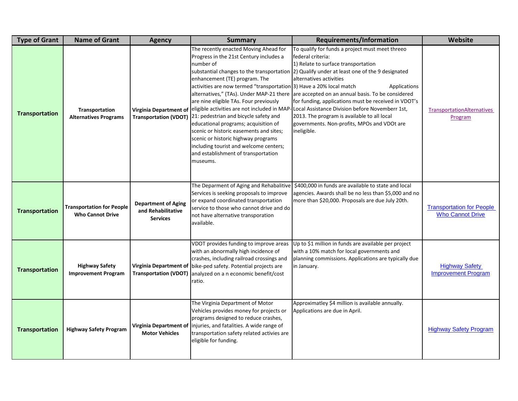| <b>Type of Grant</b>  | <b>Name of Grant</b>                                        | <b>Agency</b>                                                       | <b>Summary</b>                                                                                                                                                                                                                                                                                                                                                                                                                                                                                                                         | Requirements/Information                                                                                                                                                                                                                                                                                                                                                                                                                                                                                                                                                                                                           | <b>Website</b>                                              |
|-----------------------|-------------------------------------------------------------|---------------------------------------------------------------------|----------------------------------------------------------------------------------------------------------------------------------------------------------------------------------------------------------------------------------------------------------------------------------------------------------------------------------------------------------------------------------------------------------------------------------------------------------------------------------------------------------------------------------------|------------------------------------------------------------------------------------------------------------------------------------------------------------------------------------------------------------------------------------------------------------------------------------------------------------------------------------------------------------------------------------------------------------------------------------------------------------------------------------------------------------------------------------------------------------------------------------------------------------------------------------|-------------------------------------------------------------|
| <b>Transportation</b> | Transportation<br><b>Alternatives Programs</b>              | <b>Virginia Department of</b>                                       | The recently enacted Moving Ahead for<br>Progress in the 21st Century includes a<br>number of<br>enhancement (TE) program. The<br>activities are now termed "transportation [3] Have a 20% local match<br>are nine eligible TAs. Four previously<br>Transportation (VDOT) 21: pedestrian and bicycle safety and<br>educational programs; acquisition of<br>scenic or historic easements and sites;<br>scenic or historic highway programs<br>including tourist and welcome centers;<br>and establishment of transportation<br>museums. | To qualify for funds a project must meet threeo<br><b>Ifederal criteria:</b><br>1) Relate to surface transportation<br>substantial changes to the transportation (2) Qualify under at least one of the 9 designated<br>alternatives activities<br>Applications<br>alternatives," (TAs). Under MAP-21 there are accepted on an annual basis. To be considered<br>for funding, applications must be received in VDOT's<br>eligible activities are not included in MAP-Local Assistance Division before Novemberr 1st,<br>[2013. The program is available to all local<br>governments. Non-profits, MPOs and VDOt are<br>lineligible. | <b>TransportationAlternatives</b><br>Program                |
| <b>Transportation</b> | <b>Transportation for People</b><br><b>Who Cannot Drive</b> | <b>Department of Aging</b><br>and Rehabilitative<br><b>Services</b> | or expand coordinated transportation<br>service to those who cannot drive and do<br>not have alternative transporation<br>available.                                                                                                                                                                                                                                                                                                                                                                                                   | The Deparment of Aging and Rehabalitive   \$400,000 in funds are available to state and local<br>Services is seeking proposals to improve lagencies. Awards shall be no less than \$5,000 and no<br>more than \$20,000. Proposals are due July 20th.                                                                                                                                                                                                                                                                                                                                                                               | <b>Transportation for People</b><br><b>Who Cannot Drive</b> |
| <b>Transportation</b> | <b>Highway Safety</b><br><b>Improvement Program</b>         |                                                                     | VDOT provides funding to improve areas<br>with an abnormally high incidence of<br>crashes, including railroad crossings and<br>Virginia Department of bike-ped safety. Potential projects are<br><b>Transportation (VDOT)</b> analyzed on a n economic benefit/cost<br>ratio.                                                                                                                                                                                                                                                          | Up to \$1 million in funds are available per project<br>with a 10% match for local governments and<br>planning commissions. Applications are typically due<br>in January.                                                                                                                                                                                                                                                                                                                                                                                                                                                          | <b>Highway Safety</b><br><b>Improvement Program</b>         |
| <b>Transportation</b> | <b>Highway Safety Program</b>                               | <b>Motor Vehicles</b>                                               | The Virginia Department of Motor<br>Vehicles provides money for projects or<br>programs designed to reduce crashes,<br>Virginia Department of linjuries, and fatalities. A wide range of<br>transportation safety related activies are<br>eligible for funding.                                                                                                                                                                                                                                                                        | Approximatley \$4 million is available annually.<br>Applications are due in April.                                                                                                                                                                                                                                                                                                                                                                                                                                                                                                                                                 | <b>Highway Safety Program</b>                               |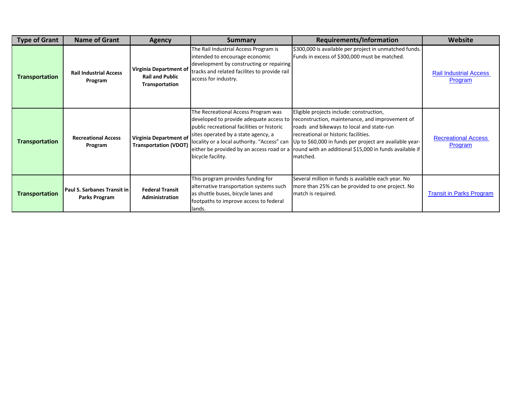| <b>Type of Grant</b>  | <b>Name of Grant</b>                                       | <b>Agency</b>                                                             | <b>Summary</b>                                                                                                                                                                               | <b>Requirements/Information</b>                                                                                                                                                                                                                                                                                                                                                                       | <b>Website</b>                           |
|-----------------------|------------------------------------------------------------|---------------------------------------------------------------------------|----------------------------------------------------------------------------------------------------------------------------------------------------------------------------------------------|-------------------------------------------------------------------------------------------------------------------------------------------------------------------------------------------------------------------------------------------------------------------------------------------------------------------------------------------------------------------------------------------------------|------------------------------------------|
| <b>Transportation</b> | <b>Rail Industrial Access</b><br>Program                   | <b>Virginia Department of</b><br><b>Rail and Public</b><br>Transportation | The Rail Industrial Access Program is<br>intended to encourage economic<br>development by constructing or repairing<br>tracks and related facilites to provide rail<br>access for industry.  | \$300,000 is available per project in unmatched funds.<br>Funds in excess of \$300,000 must be matched.                                                                                                                                                                                                                                                                                               | <b>Rail Industrial Access</b><br>Program |
| <b>Transportation</b> | <b>Recreational Access</b><br>Program                      | <b>Virginia Department of</b><br><b>Transportation (VDOT)</b>             | The Recreational Access Program was<br>public recreational facilities or historic<br>sites operated by a state agency, a<br>locality or a local authority. "Access" can<br>bicycle facility. | Eligible projects include: construction,<br>developed to provide adequate access to reconstruction, maintenance, and improvement of<br>roads and bikeways to local and state-run<br>recreational or historic facilities.<br>Up to \$60,000 in funds per project are available year-<br>either be provided by an access road or a round with an additional \$15,000 in funds available if<br>Imatched. | <b>Recreational Access</b><br>Program    |
| <b>Transportation</b> | <b>Paul S. Sarbanes Transit in</b><br><b>Parks Program</b> | <b>Federal Transit</b><br><b>Administration</b>                           | This program provides funding for<br>alternative transportation systems such<br>as shuttle buses, bicycle lanes and<br>footpaths to improve access to federal<br>llands.                     | Several million in funds is available each year. No<br>more than 25% can be provided to one project. No<br>match is required.                                                                                                                                                                                                                                                                         | <b>Transit in Parks Program</b>          |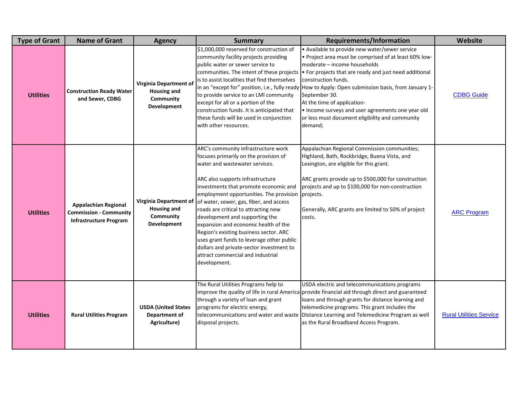| <b>Type of Grant</b> | <b>Name of Grant</b>                                                                          | <b>Agency</b>                                                                   | <b>Summary</b>                                                                                                                                                                                                                                                                                                                                                                                                                                                                                                                                                                                        | Requirements/Information                                                                                                                                                                                                                                                                                                                                                                                                                                                                                                                     | Website                        |
|----------------------|-----------------------------------------------------------------------------------------------|---------------------------------------------------------------------------------|-------------------------------------------------------------------------------------------------------------------------------------------------------------------------------------------------------------------------------------------------------------------------------------------------------------------------------------------------------------------------------------------------------------------------------------------------------------------------------------------------------------------------------------------------------------------------------------------------------|----------------------------------------------------------------------------------------------------------------------------------------------------------------------------------------------------------------------------------------------------------------------------------------------------------------------------------------------------------------------------------------------------------------------------------------------------------------------------------------------------------------------------------------------|--------------------------------|
| <b>Utilities</b>     | <b>Construction Ready Water</b><br>and Sewer, CDBG                                            | Virginia Department of<br><b>Housing and</b><br>Community<br>Development        | \$1,000,000 reserved for construction of<br>community facility projects providing<br>public water or sewer service to<br>is to assist localities that find themselves<br>to provide service to an LMI community<br>except for all or a portion of the<br>construction funds. It is anticipated that<br>these funds will be used in conjunction<br>with other resources.                                                                                                                                                                                                                               | . Available to provide new water/sewer service<br>• Project area must be comprised of at least 60% low-<br>moderate - income households<br>communities. The intent of these projects • For projects that are ready and just need additional<br>construction funds.<br>in an "except for" position, i.e., fully ready How to Apply: Open submission basis, from January 1-<br>September 30.<br>At the time of application-<br>. Income surveys and user agreements one year old<br>or less must document eligibility and community<br>demand; | <b>CDBG Guide</b>              |
| <b>Utilities</b>     | <b>Appalachian Regional</b><br><b>Commission - Community</b><br><b>Infrastructure Program</b> | <b>Virginia Department of</b><br><b>Housing and</b><br>Community<br>Development | ARC's community infrastructure work<br>focuses primarily on the provision of<br>water and wastewater services.<br>ARC also supports infrastructure<br>investments that promote economic and<br>employment opportunities. The provision projects.<br>of water, sewer, gas, fiber, and access<br>roads are critical to attracting new<br>development and supporting the<br>expansion and economic health of the<br>Region's existing business sector. ARC<br>uses grant funds to leverage other public<br>dollars and private-sector investment to<br>attract commercial and industrial<br>development. | Appalachian Regional Commission communities;<br>Highland, Bath, Rockbridge, Buena Vista, and<br>Lexington, are eligible for this grant.<br>ARC grants provide up to \$500,000 for construction<br>projects and up to \$100,000 for non-construction<br>Generally, ARC grants are limited to 50% of project<br>costs.                                                                                                                                                                                                                         | <b>ARC</b> Program             |
| <b>Utilities</b>     | <b>Rural Utilities Program</b>                                                                | <b>USDA (United States</b><br>Department of<br>Agriculture)                     | The Rural Utilities Programs help to<br>through a variety of loan and grant<br>programs for electric energy,<br>disposal projects.                                                                                                                                                                                                                                                                                                                                                                                                                                                                    | USDA electric and telecommunications programs<br>improve the quality of life in rural America provide financial aid through direct and guaranteed<br>loans and through grants for distance learning and<br>telemedicine programs. This grant includes the<br>telecommunications and water and waste Distance Learning and Telemedicine Program as well<br>as the Rural Broadband Access Program.                                                                                                                                             | <b>Rural Utilities Service</b> |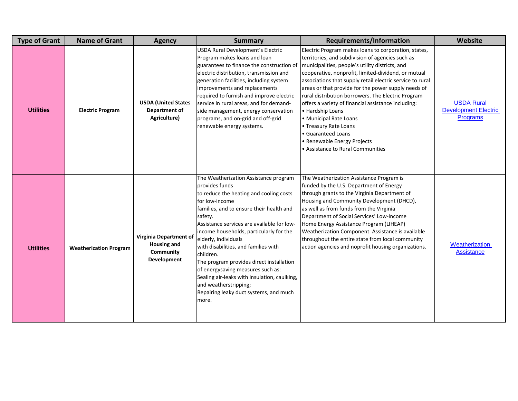| <b>Type of Grant</b> | <b>Name of Grant</b>          | <b>Agency</b>                                                            | <b>Summary</b>                                                                                                                                                                                                                                                                                                                                                                                                                                                                                                                                                 | Requirements/Information                                                                                                                                                                                                                                                                                                                                                                                                                                                                                                                                                                                                       | Website                                                             |
|----------------------|-------------------------------|--------------------------------------------------------------------------|----------------------------------------------------------------------------------------------------------------------------------------------------------------------------------------------------------------------------------------------------------------------------------------------------------------------------------------------------------------------------------------------------------------------------------------------------------------------------------------------------------------------------------------------------------------|--------------------------------------------------------------------------------------------------------------------------------------------------------------------------------------------------------------------------------------------------------------------------------------------------------------------------------------------------------------------------------------------------------------------------------------------------------------------------------------------------------------------------------------------------------------------------------------------------------------------------------|---------------------------------------------------------------------|
| <b>Utilities</b>     | <b>Electric Program</b>       | <b>USDA (United States</b><br><b>Department of</b><br>Agriculture)       | <b>USDA Rural Development's Electric</b><br>Program makes loans and loan<br>guarantees to finance the construction of<br>electric distribution, transmission and<br>generation facilities, including system<br>improvements and replacements<br>required to furnish and improve electric<br>service in rural areas, and for demand-<br>side management, energy conservation<br>programs, and on-grid and off-grid<br>renewable energy systems.                                                                                                                 | Electric Program makes loans to corporation, states,<br>territories, and subdivision of agencies such as<br>municipalities, people's utility districts, and<br>cooperative, nonprofit, limited-dividend, or mutual<br>associations that supply retail electric service to rural<br>areas or that provide for the power supply needs of<br>rural distribution borrowers. The Electric Program<br>offers a variety of financial assistance including:<br>• Hardship Loans<br>• Municipal Rate Loans<br>• Treasury Rate Loans<br><b>Guaranteed Loans</b><br>· Renewable Energy Projects<br><b>Assistance to Rural Communities</b> | <b>USDA Rural</b><br><b>Development Electric</b><br><b>Programs</b> |
| <b>Utilities</b>     | <b>Weatherization Program</b> | Virginia Department of<br><b>Housing and</b><br>Community<br>Development | The Weatherization Assistance program<br>provides funds<br>to reduce the heating and cooling costs<br>for low-income<br>families, and to ensure their health and<br>safety.<br>Assistance services are available for low-<br>income households, particularly for the<br>elderly, individuals<br>with disabilities, and families with<br>children.<br>The program provides direct installation<br>of energysaving measures such as:<br>Sealing air-leaks with insulation, caulking,<br>and weatherstripping;<br>Repairing leaky duct systems, and much<br>more. | The Weatherization Assistance Program is<br>funded by the U.S. Department of Energy<br>through grants to the Virginia Department of<br>Housing and Community Development (DHCD),<br>as well as from funds from the Virginia<br>Department of Social Services' Low-Income<br>Home Energy Assistance Program (LIHEAP)<br>Weatherization Component. Assistance is available<br>throughout the entire state from local community<br>action agencies and noprofit housing organizations.                                                                                                                                            | <b>Weatherization</b><br><b>Assistance</b>                          |